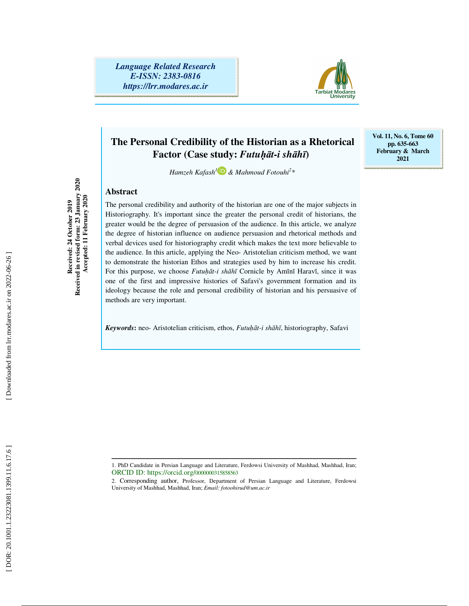*Language Related Research E-ISSN: 2383-0816 https://lrr.modares.ac.ir*



# **The Personal Credibility of the Historian as a Rhetorical Factor (Case study:** *Futu*ḥā*t-i sh* ā*h* ī**)**

*Hamzeh Kafash 1 & Mahmoud Fotouhi 2 \** 

# **Abstract**

The personal credibility and authority of the historian are one of the major subjects in Historiography. It's important since the greater the personal credit of historians, the greater would be the degree of persuasion of the audience. In this article, we analyze the degree of historian influence on audience persuasion and rhetorical methods and verbal devices used for historiography credit which makes the text more believable to the audience. In this article, applying the Neo- Aristotelian criticism method, we want to demonstrate the historian Ethos and strategies used by him to increase his credit. For this purpose, we choose *Futuhāt-i shāhī* Cornicle by Amīnī Haravī, since it was one of the first and impressive histories of Safavi's government formation and its ideology because the role and personal credibility of historian and his persuasive of methods are very important.

*Keywords***:** neo- Aristotelian criticism, ethos, *Futu*ḥā*t-i sh* ā *h* ī, historiography, Safavi

Received in revised form: 23 January 2020<br>Accepted: 11 February 2020 **Received in revised form: 23 January 2020**  Received: 24 October 2019 **Received: 24 October 2019** 

 **Accepted: 11 February 2020** 

**Vol. 11, No. 6, Tome 60 pp. 635-663 February & March 2021** 

ــــــــــــــــــــــــــــــــــــــــــــــــــــــــــــــــــــــــــــــــــــــــــــــــــــــــــــــــــــــــــــــــــــــــــ 1. PhD Candidate in Persian Language and Literature, Ferdowsi University of Mashhad, Mashhad, Iran; ORCID ID: https://orcid.org/0000000315858563

<sup>2.</sup> Corresponding author, Professor, Department of Persian Language and Literature, Ferdowsi University of Mashhad, Mashhad, Iran; *Email: fotoohirud@um.ac.ir*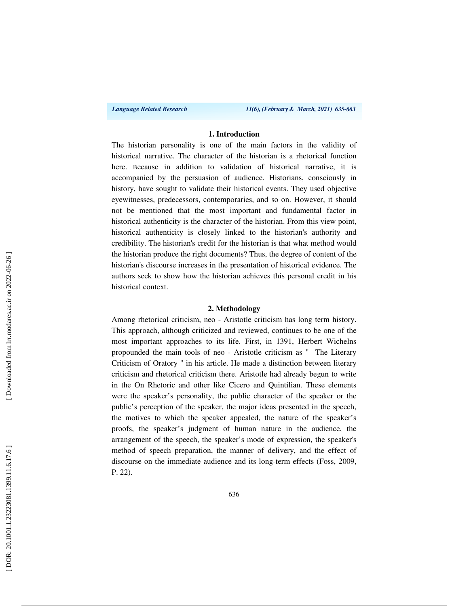*Language Related Research 11(6), (February & March, 2021) 635-663*

# **1. Introduction**

The historian personality is one of the main factors in the validity of historical narrative. The character of the historian is a rhetorical function here. Because in addition to validation of historical narrative, it is accompanied by the persuasion of audience. Historians, consciously in history, have sought to validate their historical events. They used objective eyewitnesses, predecessors, contemporaries, and so on. However, it should not be mentioned that the most important and fundamental factor in historical authenticity is the character of the historian. From this view point, historical authenticity is closely linked to the historian's authority and credibility. The historian's credit for the historian is that what method would the historian produce the right documents? Thus, the degree of content of the historian's discourse increases in the presentation of historical evidence. The authors seek to show how the historian achieves this personal credit in his historical context.

### **2. Methodology**

Among rhetorical criticism, neo - Aristotle criticism has long term history. This approach, although criticized and reviewed, continues to be one of the most important approaches to its life. First, in 1391, Herbert Wichelns propounded the main tools of neo - Aristotle criticism as " The Literary Criticism of Oratory " in his article. He made a distinction between literary criticism and rhetorical criticism there. Aristotle had already begun to write in the On Rhetoric and other like Cicero and Quintilian. These elements were the speaker's personality, the public character of the speaker or the public's perception of the speaker, the major ideas presented in the speech, the motives to which the speaker appealed, the nature of the speaker's proofs, the speaker's judgment of human nature in the audience, the arrangement of the speech, the speaker's mode of expression, the speaker's method of speech preparation, the manner of delivery, and the effect of discourse on the immediate audience and its long-term effects (Foss, 2009, P. 22).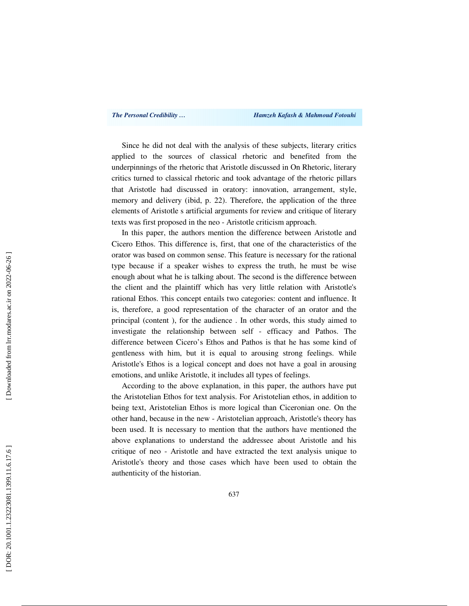Since he did not deal with the analysis of these subjects, literary critics applied to the sources of classical rhetoric and benefited from the underpinnings of the rhetoric that Aristotle discussed in On Rhetoric, literary critics turned to classical rhetoric and took advantage of the rhetoric pillars that Aristotle had discussed in oratory: innovation, arrangement, style, memory and delivery (ibid, p. 22). Therefore, the application of the three elements of Aristotle s artificial arguments for review and critique of literary texts was first proposed in the neo - Aristotle criticism approach.

In this paper, the authors mention the difference between Aristotle and Cicero Ethos. This difference is, first, that one of the characteristics of the orator was based on common sense. This feature is necessary for the rational type because if a speaker wishes to express the truth, he must be wise enough about what he is talking about. The second is the difference between the client and the plaintiff which has very little relation with Aristotle's rational Ethos. This concept entails two categories: content and influence. It is, therefore, a good representation of the character of an orator and the principal (content ), for the audience . In other words, this study aimed to investigate the relationship between self - efficacy and Pathos. The difference between Cicero's Ethos and Pathos is that he has some kind of gentleness with him, but it is equal to arousing strong feelings. While Aristotle's Ethos is a logical concept and does not have a goal in arousing emotions, and unlike Aristotle, it includes all types of feelings.

According to the above explanation, in this paper, the authors have put the Aristotelian Ethos for text analysis. For Aristotelian ethos, in addition to being text, Aristotelian Ethos is more logical than Ciceronian one. On the other hand, because in the new - Aristotelian approach, Aristotle's theory has been used. It is necessary to mention that the authors have mentioned the above explanations to understand the addressee about Aristotle and his critique of neo - Aristotle and have extracted the text analysis unique to Aristotle's theory and those cases which have been used to obtain the authenticity of the historian.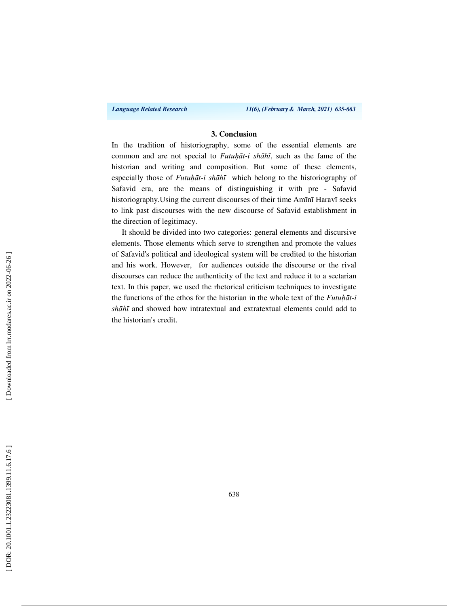*Language Related Research 11(6), (February & March, 2021) 635-663*

## **3. Conclusion**

In the tradition of historiography, some of the essential elements are common and are not special to *Futu*ḥā*t-i sh* ā *h* ī, such as the fame of the historian and writing and composition. But some of these elements, especially those of *Futuhāt-i shāhī* which belong to the historiography of Safavid era, are the means of distinguishing it with pre - Safavid historiography.Using the current discourses of their time Amī nī Haravī seeks to link past discourses with the new discourse of Safavid establishment in the direction of legitimacy.

It should be divided into two categories: general elements and discursive elements. Those elements which serve to strengthen and promote the values of Safavid's political and ideological system will be credited to the historian and his work. However, for audiences outside the discourse or the rival discourses can reduce the authenticity of the text and reduce it to a sectarian text. In this paper, we used the rhetorical criticism techniques to investigate the functions of the ethos for the historian in the whole text of the *Futu*ḥā*t-i sh* ā *h* ī and showed how intratextual and extratextual elements could add to the historian's credit.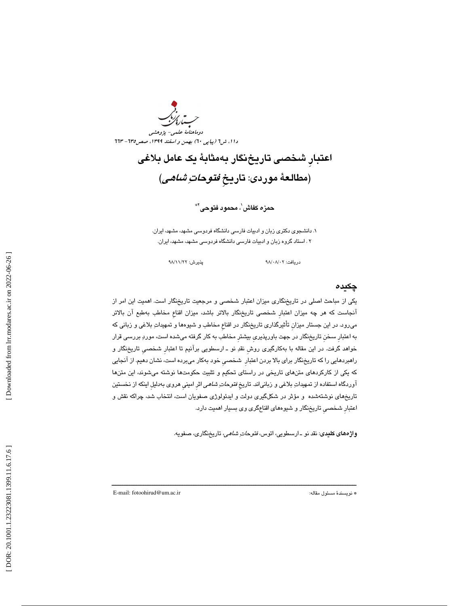يە<br>سىرى<sup>ئى</sup>ر دوماهنامة علمي- پژوهشي دا ۱، ش1 (پیاپی ٦٠) بهمن و اسفند ١٣٩٩، صص1٣٥ - ٦٦٣

اعتبارِ شخصي تاريخنگار بهمثابة يك عامل بلاغي (مطالعة موردي: تاريخِ فتوحات شاهي )

# حمزه كفاش ٰ، محمود فتوحى`\*

. دانشجوي دكتري زبان و ادبيات فارسي دانشگاه فردوسي مشهد، مشهد، ايران. 1 2 . استاد گروه زبان و ادبيات فارسي دانشگاه فردوسي مشهد، مشهد، ايران.

دريافت: ٩٨/ ٩٨/ ٩٨

# چكيده

يكي از مباحث اصلي در تاريخنگاري ميزان اعتبار شخصي و مرجعيت تاريخنگار است. اهميت اين امر از آنجاست كه هر چه ميزان اعتبارِ شخصي تاريخنگار بالاتر باشد، ميزان اقناعِ مخاطب بهطبع آن بالاتر ميرود. در اين جستار ميزانِ تأثيرگذاري تاريخنگار در اقناعِ مخاطب و شيوهها و تمهيدات بلاغي و زباني كه به اعتبارِ سخنِ تاريخنگار در جهت باورپذيريِ بيشترِ مخاطب به كار گرفته ميشده است، مورد بررسي قرار خواهد گرفت. در اين مقاله با بهكارگيري روشِ نقد نو ـ ارسطويي برآنيم تا اعتبارِ شخصيِ تاريخنگار و راهبردهايي را كه تاريخنگار براي بالا بردن اعتبارِ شخصيِ خود بهكار ميبرده است، نشان دهيم. از آنجايي كه يكي از كاركردهاي متنهاي تاريخي در راستاي تحكيم و تثبيت حكومتها نوشته ميشوند، اين متنها آوردگاه استفاده از تمهيداتِ بلاغي و زبانياند. تاريخ *فتوحاتِ شاهي* اثر اميني هروي بهدليل اينكه از نخستين تاريخهاي نوشتهشده و مؤثر در شكلگيري دولت و ايدئولوژي صفويان است، انتخاب شد، چراكه نقش و اعتبارِ شخصيِ تاريخنگار و شيوههاي اقناعگري وي بسيار اهميت دارد.

ــــــــــــــــــــــــــــــــــــــــــــــــــــــــــــــــــــــــــــــــــــــــــــــــــــــــــــــــــــــــــــــــــــــــــ

واژههاي كليدي: نقد نو ـ ارسطويي، اتوس، فتوحات شاهي، تاريخنگاري، صفويه.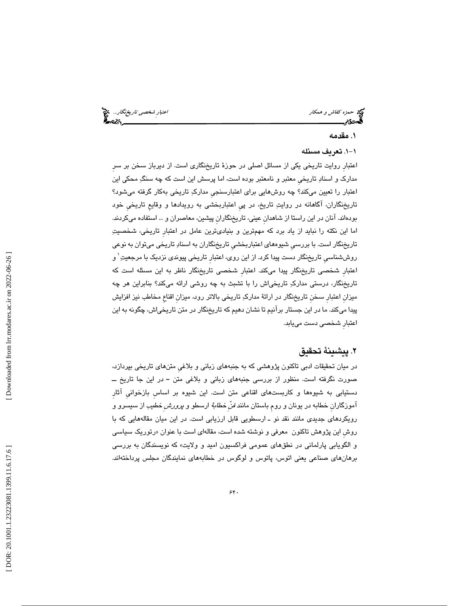حمد كفاش و همكار احتبار شخصي تاريخنگار... چي<br>احتبارِ شخصي تاريخنگار...<br>الحدودیم

# 1. مقدمه

# -1. 1 تعريف مسئله

اعتبارِ روايت تاريخي يكي از مسائل اصلي در حوزة تاريخنگاري است. از ديرباز سخن بر سرِ مدارك و اسناد تاريخيِ معتبر و نامعتبر بوده است، اما پرسش اين است كه چه سنگ محكي اين اعتبار را تعيين ميكند؟ چه روشهايي براي اعتبارسنجيِ مدارك تاريخي بهكار گرفته ميشود؟ تاريخنگاران، آگاهانه در روايت تاريخ، در پيِ اعتباربخشي به رويدادها و وقايعِ تاريخيِ خود بودهاند. آنان در اين راستا از شاهدانِ عيني، تاريخنگارانِ پيشين، معاصران و ... استفاده ميكردند. اما اين نكته را نبايد از ياد برد كه مهمترين و بنياديترين عامل در اعتبارِ تاريخي، شخصيت تاريخنگار است. با بررسيِ شيوههاي اعتباربخشيِ تاريخنگاران به اسناد تاريخي ميتوان به نوعي روششناسی تاریخنگار دست پیدا کرد. از این روی، اعتبار تاریخی پیوندی نزدیک با مرجعیتِ ٰ و اعتبارِ شخصي تاريخنگار پيدا ميكند. اعتبارِ شخصي تاريخنگار ناظر به اين مسئله است كه تاريخنگار، درستي مدارك تاريخياش را با تشبث به چه روشي ارائه ميكند؟ بنابراين هر چه ميزانِ اعتبارِ سخنِ تاريخنگار در ارائة مدارك تاريخي بالاتر رود، ميزانِ اقناعِ مخاطب نيز افزايش پيدا ميكند. ما در اين جستار برآنيم تا نشان دهيم كه تاريخنگار در متن تاريخياش، چگونه به اين اعتبارِ شخصي دست مييابد.

# 2. پيشينة تحقيق

در ميان تحقيقات ادبي تاكنون پژوهشي كه به جنبههاي زباني و بلاغيِ متنهاي تاريخي بپردازد، صورت نگرفته است. منظور از بررسي جنبههاي زباني و بلاغي متن ــ در اين جا تاريخ ــ دستيابي به شيوهها و كاربستهاي اقناعي متن است. اين شيوه بر اساسِ بازخوانيِ آثارِ آموزگارانِ خطابه در يونان و رومِ باستان مانند فنِّ خطابة ارسطو و پرورشِ خطيب از سيسرو و رويكردهاي جديدي مانند نقد نو ـ ارسطويي قابل ارزيابي است. در اين ميان مقالههايي كه با روش اين پژوهش تاكنون معرفي و نوشته شده است، مقالهاي است با عنوان «رتوريک سياسي و الگويابي پارلماني در نطقهاي عمومي فراكسيون اميد و ولايت» كه نويسندگان به بررسي 1 برهانهاي صناعي يعني اتوس، پاتوس و لوگوس در خطابههاي نمايندگان مجلس پرداختهاند.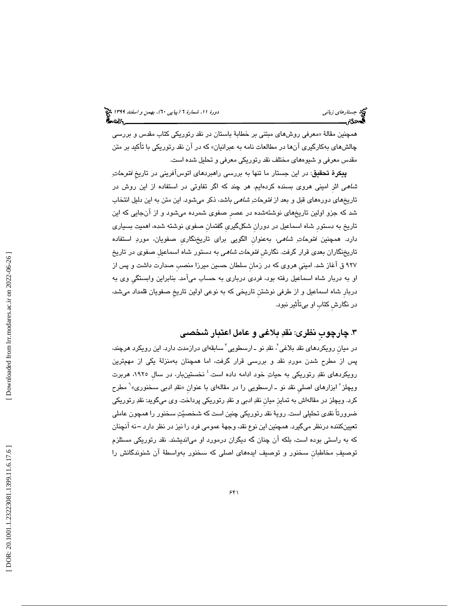همچنین مقالهٔ «معرفی روشهای مبتنی بر خطابهٔ باستان در نقد رتوریکی کتاب مقدس و بررسی چالشهاي بهكارگيري آنها در مطالعات نامه به عبرانيان» كه در آن نقد رتوريكي با تأكيد بر متن مقدس معرفي و شيوههاي مختلف نقد رتوريكي معرفي و تحليل شده است.

**پيكرهٔ تحقيق**: در اين جستار ما تنها به بررسي راهبردهاي اتوسآفريني در تاريخ *فتوحات*ِ شاهي اثرِ اميني هروي بسنده كردهايم. هر چند كه اگر تفاوتي در استفاده از اين روش در تاريخهاي دورههاي قبل و بعد از *فتوحاتِ شاهي* باشد، ذكر ميشود. اين متن به اين دليل انتخاب شد كه جزو اولين تاريخهاي نوشتهشده در عصرِ صفوي شمرده ميشود و از آنجايي كه اين تاريخ به دستورِ شاه اسماعيل در دورانِ شكلگيريِ گفتمانِ صفوي نوشته شده، اهميت بسياري دارد. همچنين *فتوحاتِ شاهي*، بهعنوان الگويي براي تاريخنگاري صفويان، موردِ استفاده تاريخنگاران بعدي قرار گرفت. نگارش *فتوحات شاهي* به دستور شاه اسماعيل صفوي در تاريخ 927 ق آغاز شد. امينيِ هروي كه در زمانِ سلطان حسين ميرزا منصبِ صدارت داشت و پس از او به دربار شاه اسماعيل رفته بود، فردي درباري به حساب ميآمد. بنابراين وابستگيِ وي به دربارِ شاه اسماعيل و از طرفي نوشتنِ تاريخي كه به نوعي اولين تاريخِ صفويان قلمداد ميشد، در نگارشِ كتابِ او بيتأثير نبود.

# .3 چارچوبِ نظري: نقد بلاغي و عامل اعتبار شخصي

در میان رویکردهای نقد بلاغی<sup>۲</sup>، نقدِ نو ــ ارسطویی<sup>۳</sup> سابقهای درازمدت دارد. این رویکرد هرچند، پس از مطرح شدن مورد نقد و بررسي قرار گرفت، اما همچنان بهمنزلة يكي از مهمترين رويكردهاى نقدِ رتوريكى به حياتِ خود ادامه داده است.<sup>؛</sup> نخستينبار، در سال ١٩٢٥، هربرت ویچلز ْ ابزارهای اصلی نقد نو ـ ارسطویی را در مقالهای با عنوان «نقدِ ادبی سـخنوری»<sup>٬</sup> مطرح كرد. ويچلز در مقالهاش به تمايزِ ميانِ نقد ادبي و نقد رتوريكي پرداخت. وي ميگويد: نقد رتوريكي ضرورتاً نقدي تحليلي است. روية نقد رتوريكي چنين است كه شخصيت سخنور را همچون عاملي تعيينكننده درنظر ميگيرد. همچنين اين نوع نقد، وجهة عمومي فرد را نيز در نظر دارد ــ نه آنچنان كه به راستي بوده است، بلكه آن چنان گه ديگران درمورد او ميانديشند. نقد رتوريكي مستلزم توصيفِ مخاطبان سخنور و توصيف ايدههاي اصلي كه سخنور بهواسطهٔ آن شنوندگانش را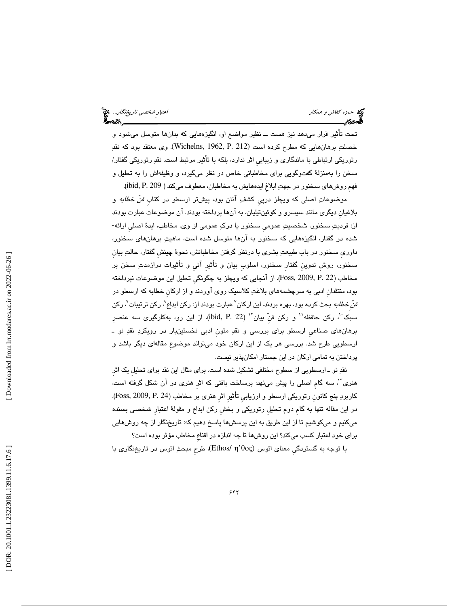حمزه كف*اش و همكار احتران المراق العتبارِ شخصي تاريخنگار.*.. و من المراق العتبارِ شخص*ي تاريخنگار..*. و من العتبار<br>**العدد: اعتبار** 

تحت تأثير قرار ميدهد نيز هست ــ نظير مواضع او، انگي زههايي كه بدانها متوسل ميشود و خصلتِ برهانهايي كه مطرح كرده است (Wichelns, 1962, P. 212). وي معتقد بود كه نقدِ رتوريكي ارتباطي با ماندگاري و زيباييِ اثر ندارد، بلكه با تأثير مرتبط است. نقد رتوريكي گفتار/ سخن را بهمنزلة گفتوگويي براي مخاطباني خاص در نظر ميگيرد، و وظيفهاش را به تحليل و فهمِ روشهاي سخنور در جهت ابلاغِ ايدههايش به مخاطبان، معطوف ميكند ( 209 .P ,ibid( .

موضوعاتِ اصلی که ویچلز درپيِ کشفِ آنان بود، پیشتر ارسطو در کتاب *فنّ خطابه* و بلاغيانِ ديگري مانند سيسرو و كوئينتيليان، به آنها پرداخته بودند. آن موضوعات عبارت بودند از: فرديت سخنور، شخصيت عموميِ سخنور يا درك عمومي از وي، مخاطب، ايدة اصليِ ارائه- شده در گفتار، انگيزههايي كه سخنور به آنها متوسل شده است، ماهيت برهانهاي سخنور، داوريِ سخنور در باب طبيعت بشري با درنظر گرفتن مخاطبانش، نحوة چينشِ گفتار، حالت بيانِ سخنور، روشِ تدوينِ گفتارِ سخنور، اسلوبِ بيان و تأثيرِ آنيِ و تأثيرات درازمدت سخن بر مخاطب (22 .Poss, 2009, P). از آنجايي كه ويچلز به چگونگي تحليل اين موضوعات نپرداخته بود، منتقدانِ ادبي به سرچشمههاي بلاغت كلاسيك روي آوردند و از اركانِ خطابه كه ارسطو در فنِّ خ*طابه* بحث كرده بود، بهره بردند. اين اركان<sup>۷</sup> عبارت بودند از: ركن ابداع<sup>^</sup>، ركن ترتيبات<sup>^</sup>، ركن سبک بر رکن حافظه استری منه بيان از از این رو به به كارگيري سه عنصرِ 10 سبك به منصر برهانهاي صناعيِ ارسطو براي بررسي و نقد متونِ ادبي نخستينبار در رويكرد نقد نو ـ ارسطويي طرح شد. بررسي هر يك از اين اركان خود ميتواند موضوعِ مقالهاي ديگر باشد و پرداختن به تمامي اركان در اين جستار امكانپذير نيست.

نقد نو ـ ارسطويي از سطوح مختلفي تشكيل شده است. براي مثال اين نقد براي تحليلِ يك اثرِ هنري<sup>۱٬</sup>، سه گام اصلي را پيش مينهد: برساخت بافتي كه اثرِ هنري در آن شكل گرفته است، كاربردِ پنج كانون رتوريكي ارسطو و ارزيابي تأثيرِ اثرِ هنري بر مخاطبِ (24 .Foss, 2009, P. در اين مقاله تنها به گام دوم تحليل رتوريكي و بخش ركن ابداع و مقولهٔ اعتبار شخصي بسنده ميكنيم و ميكوشيم تا از اين طريق به اين پرسشها پاسخ دهيم كه: تاريخنگار از چه روشهايي براي خود اعتبار كسب ميكند؟ اين روشها تا چه اندازه در اقناعِ مخاطب مؤثر بوده است؟

با توجه به گستردگي معناي اتوس (Ethos/ η'θος)، طرح مبحثِ اتوس در تاريخنگاري با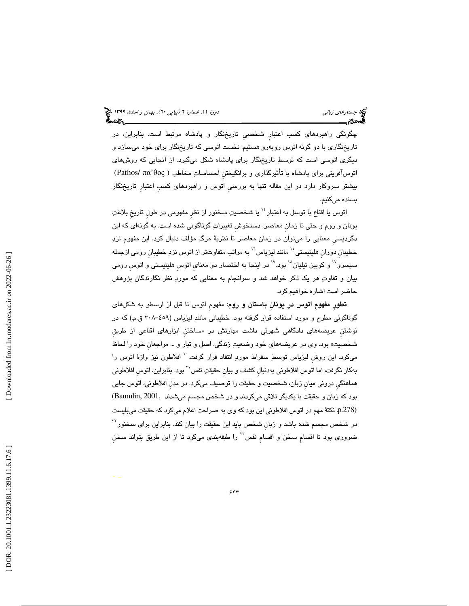چگونگي راهبردهاي كسب اعتبارِ شخصيِ تاريخنگار و پادشاه مرتبط است. بنابراين، در تاريخنگاري با دو گونه اتوس روبهرو هستيم. نخست اتوسي كه تاريخنگار براي خود ميسازد و ديگري اتوسي است كه توسط تاريخنگار براي پادشاه شكل ميگيرد. از آنجايي كه روشهاي (Pathos/ πα آفريني براي پادشاه با تأثيرگذاري و برانگيختنِ احساسات مخاطب ( θος' اتوس بيشتر سروكار دارد در اين مقاله تنها به بررسيِ اتوس و راهبردهاي كسبِ اعتبارِ تاريخنگار بسنده ميكنيم.

اتوس يا اقناع با توسل به اعتبار<sup>ِ ۱٬</sup> يا شخصيتِ سخنور از نظر مفهومي در طول تاريخ بلاغتِ يونان و روم و حتي تا زمانِ معاصر، دستخوشِ تغييرات گوناگوني شده است. به گونهاي كه اين دگرديسيِ معنايي را ميتوان در زمان معاصر تا نظرية مرگ مؤلف دنبال كرد. اين مفهوم نزد خطیبان دوران هلینیستی<sup>٬٬</sup> مانند لیزیاس<sup>٬٬</sup> به مراتب متفاوتتر از اتوس نزدِ خطیبان رومی ازجمله سیسرو<sup>۱۷</sup> و کویین تیلیان<sup>۱۸</sup> بود.<sup>۱۹</sup> در اینجا به اختصار دو معنای اتوس هلینیستی و اتوس رومی بيان و تفاوت هر يك ذكر خواهد شد و سرانجام به معنايي كه مورد نظر نگارندگان پژوهش حاضر است اشاره خواهيم كرد.

تطورِ مفهومِ اتوس در يونانِ باستان و روم: مفهومِ اتوس تا قبل از ارسطو به شكلهاي گوناگوني مطرح و مورد استفاده قرار گرفته بود. خطيباني مانند ليزياس (-459 308 ق.م.) كه در نوشتن عريضههای دادگاهی شهرتی داشت مهارتش در «ساختن ابزارهای اقناعی از طریق شخصيت» بود. وي در عريضههاي خود وضعيت زندگي، اصل و تبار و ... مراجعانِ خود را لحاظ میکرد. این روش لیزیاس توسطِ سقراط موردِ انتقاد قرار گرفت.<sup>۲</sup>۰ افلاطون نیز واژهٔ اتوس را بهكار نگرفت، اما اتوس افلاطوني بهدنبال كشف و بيان حقيقتِ نفس `` بود. بنابراين، اتوس افلاطوني هماهنگيِ دروني ميانِ زبان، شخصيت و حقيقت را توصيف ميكرد. در مدلِ افلاطوني، اتوس جايي بود كه زبان و حقيقت با يكديگر تلاقي ميكردند و در شخص مجسم مي شدند 2001, ,Baumlin( نكتة مهم در اتوسِ افلاطوني اين بود كه وي به صراحت اعلام ميكرد كه حقيقت ميبايست .p.278) 22 در شخص مجسم شده باشد و زبانِ شخص بايد اين حقيقت را بيان كند. بنابراين براي سخنور ضروری بود تا اقسام سخن و اقسام نفس™ را طبقهبندی میکرد تا از این طریق بتواند سخن

 [\[ DOR: 20.1001.1.23223081.1399.11.6.17](https://dorl.net/dor/20.1001.1.23223081.1399.11.6.17.6).6 ] [\[ Downloaded from lrr.modares.ac.ir on 20](https://lrr.modares.ac.ir/article-14-37614-fa.html)22-06-26 ] Downloaded from lrr.modares.ac.ir on 2022-06-26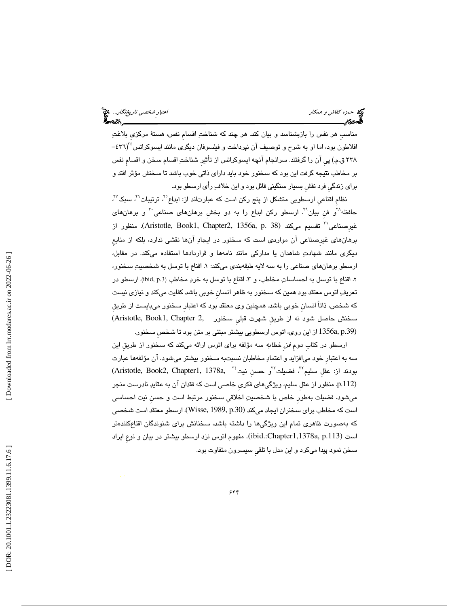حمد حمزه كفاش و همكار اعتبار شخص*ي تاريخنگار.*.. چ<mark>خ</mark><br>العاده<br>العادی محمد اعتبار اعتبار اعتبار اعتبار شخصی تاریخ محمد است.

مناسبِ هر نفس را بازبشناسد و بيان كند. هر چند كه شناخت اقسامِ نفس، هستة مركزيِ بلاغت افلاطون بود، اما او به شرح و توصیف آن نپرداخت و فیلسوفان دیگری مانند ایسوکراتس<sup>۲۶</sup>(۴۳۱-٣٣٨ ق.م.) پي آن را گرفتند. سرانجام آنچه ايسوكراتس از تأثير شناختِ اقسامِ سخن و اقسامِ نفس بر مخاطب نتيجه گرفت اين بود كه سخنور خود بايد داراي ذاتي خوب باشد تا سخنش مؤثر افتد و براي زندگيِ فرد نقشِ بسيار سنگيني قائل بود و اين خلاف رأي ارسطو بود.

نظام اقناعی ارسطویی متشكل از پنج ركن است كه عبارتاند از: ابداع°<sup>۲</sup>، ترتیبات<sup>۲</sup>′، سبک<sup>7</sup>′، حافظه $^{\chi^{\prime}}$ و فنِ بيان ُ لرسطو ركن ابداع را به دو بخشِ برهانهاي صناعي َ و برهانهاي نقسيم ميكند (38 .p. 336 Aristotle, Book1, Chapter2, 1356a, p. منظور از 31 منظور از برهانهاي غيرِصناعي آن مواردي است كه سخنور در ايجاد آنها نقشي ندارد، بلكه از منابعِ ديگري مانند شهادت شاهدان يا مداركي مانند نامهها و قراردادها استفاده ميكند. در مقابل، ارسطو برهانهاي صناعي را به سه لايه طبقهبندي ميكند: . 1 اقناع با توسل به شخصيت سخنور، ۲. اقناع با توسل به احساساتِ مخاطب، و ۳. اقناع با توسل به خردِ مخاطب (ibid, p.3). ارسطو در تعريف اتوس معتقد بود همين كه سخنور به ظاهر انسانِ خوبي باشد كفايت ميكند و نيازي نيست كه شخص، ذاتاً انسانِ خوبي باشد. همچنين وي معتقد بود كه اعتبارِ سخنور ميبايست از طريقِ سخنش حاصل شود نه از طريقِ شهرت قبلي سخنور .Aristotle, Book1, Chapter 2, (.39p ,a1356 از اين روي، اتوس ارسطويي بيشتر مبتني بر متن بود تا شخصِ سخنور.

ارسطو در كتابِ دومِ فنِ خطابه سه مؤلفه براي اتوس ارائه ميكند كه سخنور از طريقِ اين سه به اعتبارِ خود ميافزايد و اعتماد مخاطبان نسبتبه سخنور بيشتر ميشود. آن مؤلفهها عبارت  $(Aristotte, Book2, Chapter 1, 1378a, 4378a)$  بودند از: عقل سليم"، فضيلت"و حسن نيت منظور از عقلِ سليم، ويژگيهاي فكريِ خاصي است كه فقدان آن به عقايد نادرست منجر .p.112) ميشود. فضيلت بهطورِ خاص با شخصيت اخلاقيِ سخنور مرتبط است و حسنِ نيت احساسي است كه مخاطب براي سخنران ايجاد ميكند (.30p 1989, ,Wisse(. ارسطو معتقد است شخصي كه بهصورت ظاهري تمام اين ويژگيها را داشته باشد، سخنانش براي شنوندگان اقناعكنن دهتر است (ibid.:Chapter1,1378a, p.113). مفهوم اتوس نزد ارسطو بيشتر در بيان و نوعِ ايراد سخن نمود پيدا ميكرد و اين مدل با تلقيِ سيسرون متفاوت بود.

 [\[ DOR: 20.1001.1.23223081.1399.11.6.17](https://dorl.net/dor/20.1001.1.23223081.1399.11.6.17.6).6 ] [\[ Downloaded from lrr.modares.ac.ir on 20](https://lrr.modares.ac.ir/article-14-37614-fa.html)22-06-26 ] Downloaded from lrr.modares.ac.ir on 2022-06-26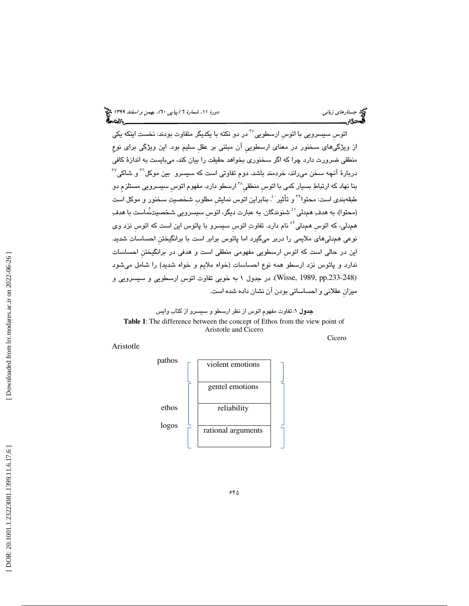اتوس سيسرويي با اتوس ارسطويي<sup>°۲</sup> در دو نكته با يكديگر متفاوت بودند: نخست اينكه يكي از ويژگيهاي سخنور در معناي ارسطوييِ آن مبتني بر عقلِ سليم بود. اين ويژگي براي نوعِ منطقي ضرورت دارد چرا كه اگر سخنوري بخواهد حقيقت را بيان كند، ميبايست به اندازة كافي  $^{\mathsf{r}\mathsf{v}}$ دربارهٔ آنچه سخن می $_{\mathsf{c}}$ لنه، خردمند باشد. دوم تفاوتی است كه سیسرو  $\,$ بین موكل $^{\mathsf{r}\mathsf{r}}$  و شاكی بنا نهاد که ارتباطِ بسيار کمی با اتوس منطقی^<sup>۳</sup> ارسطو دارد. مفهوِمِ اتوس سيسرويي مستلزمِ دو طبقهبندی است: محتوا<sup>74</sup> و تأثیر <sup>: ب</sup>ْ. بنابراین اتوس نمایش مطلوب شخصیتِ سخنور و موکل است (محتوا)، به هدفِ همدلي'<sup>؛</sup> شنوندگان. به عبارت ديگر، اتوس سيسرويي شخصيتنُماست با هدفِ همٖدلی، که اتوس همٖدلی<sup>٤٢</sup> نام دارد. تفاوتِ اتوس سیسرو با پاتوس این است که اتوس نزد وی نوعي هم دليهاي ملايمي را دربر ميگيرد اما پاتوس برابر است با برانگيختنِ احساسات شديد. اين در حالي است كه اتوسِ ارسطويي مفهومي منطقي است و هدفي در برانگيختنِ احساسات ندارد و پاتوس نزد ارسطو همه نوع احساسات (خواه ملايم و خواه شديد) را شامل ميشود (Wisse, 1989, pp.233-248). در جدول ۱ به خوبي تفاوت اتوس ارسطويي و سيسرويي و ميزانِ عقلاني و احساساتي بودن آن نشان داده شده است.

جدول 1: تفاوت مفهومِ اتوس از نظر ارسطو و سيسرو از كتاب وايس **Table 1**: The difference between the concept of Ethos from the view point of Aristotle and Cicero Cicero

# Aristotle

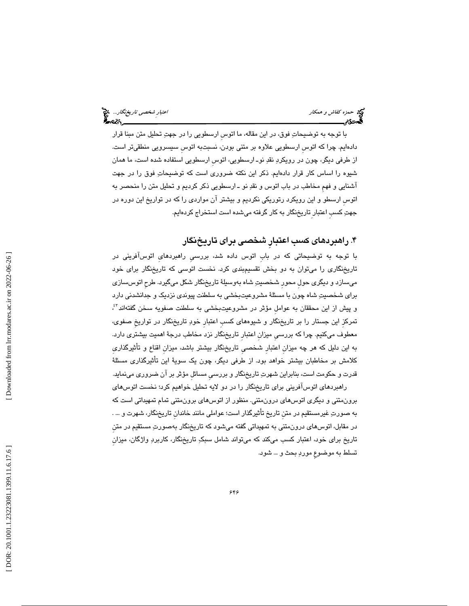حمد حمزه كفاش و همكار اعتبار شخص*ي تاريخنگار.*.. چ<mark>خ</mark><br>العاده<br>العادی محمد اعتبار اعتبار اعتبار اعتبار شخصی تاریخ محمد است.

با توجه به توضيحات فوق، در اين مقاله، ما اتوسِ ارسطويي را در جهت تحليل متن مبنا قرار دادهايم. چرا كه اتوسِ ارسطويي علاوه بر متني بودن، نسبتبه اتوسِ سيسرويي منطقيتر است. از طرفي ديگر، چون در رويكرد نقد نوـ ارسطويي، اتوسِ ارسطويي استفاده شده است، ما همان شيوه را اساس كار قرار دادهايم. ذكر اين نكته ضروري است كه توضيحات فوق را در جهت آشنايي و فهمِ مخاطب در باب اتوس و نقد نو ـ ارسطويي ذكر كرديم و تحليل متن را منحصر به اتوسِ ارسطو و اين رويكرد رتوريكي نكرديم و بيشتر آن مواردي را كه در تواريخ اين دوره در جهت كسبِ اعتبار ِتاريخنگار به كار گرفته ميشده است استخراج كردهايم.

. راهبردهاي كسب اعتبارِ شخصي براي تاريخنگار 4

با توجه به توضيحاتي كه در بابِ اتوس داده شد، بررسيِ راهبردهايِ اتوسآفريني در تاريخنگاري را ميتوان به دو بخش تقسيمبندي كرد. نخست اتوسي كه تاريخنگار براي خود ميسازد و ديگري حولِ محورِ شخصيت شاه بهوسيلة تاريخنگار شكل ميگيرد. طرحِ اتوسسازي براي شخصيت شاه چون با مسئلة مشروعيتبخشي به سلطنت پيوندي نزديك و جدانشدني دارد و پیش از این محققان به عوامل مؤثر در مشروعیتبخشی به سلطنت صفویه سخن گفتهاند<sup>؟}</sup>، تمركزِ اين جستار را بر تاريخنگار و شيوههاي كسبِ اعتبارِ خود تاريخنگار در تواريخِ صفوي، معطوف ميكنيم. چرا كه بررسيِ ميزانِ اعتبارِ تاريخنگار نزد مخاطب درجة اهميت بيشتري دارد. به اين دليل كه هر چه ميزانِ اعتبارِ شخصيِ تار يخنگار بيشتر باشد، ميزانِ اقناع و تأثيرگذاريِ كلامش بر مخاطبان بيشتر خواهد بود. از طرفي ديگر، چون يك سوية اين تأثيرگذاري مسئلة قدرت و حكومت است، بنابراين شهرت تاريخنگار و بررسيِ مسائلِ مؤثر بر آن ضروري مينمايد.

راهبردهاي اتوسآفريني براي تاريخنگار را در دو لايه تحليل خواهيم كرد؛ نخست اتوسهاي برونمتني و ديگري اتوسهاي درونمتني. منظور از اتوسهاي برونمتني تمام تمهيداتي است كه به صورت غيرمستقيم در متنِ تاريخ تأثيرگذار است؛ عواملي مانند خاندانِ تاريخنگار، شهرت و ... . در مقابل، اتوسهاي درونمتني به تمهيداتي گفته ميشود كه تاريخنگار بهصورت مستقيم در متنِ تاريخ براي خود، اعتبار كسب ميكند كه ميتواند شامل سبك تاريخنگار، كاربرد واژگان، ميزانِ تسلط به موضوعِ مورد بحث و ... شود.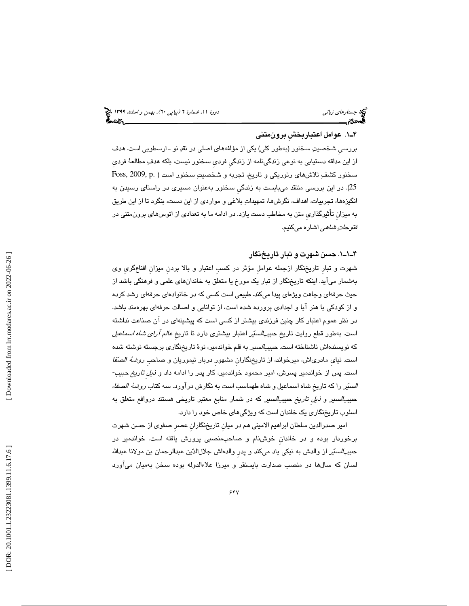# 1ـ4 . عوامل اعتباربخشِ برونمتني

بررسيِ شخصيت سخنور (بهطور كلي) يكي از مؤلفههاي اصلي در نقد نو ـ ارسطويي است. هدف از اين مداقه دستيابي به نوعي زندگينامه از زندگيِ فرديِ سخنور نيست، بلكه هدف مطالعة فرديِ سخنور كشفِ تلاشهاي رتوريكي و تاريخ، تجربه و شخصيتِ سخنور است ( .Foss, 2009, p 25). در اين بررسي منتقد ميبايست به زن دگيِ سخنور بهعنوان مسيري در راستاي رسيدن به انگيزهها، تجربيات، اهداف، نگرشها، تمهيدات بلاغي و مواردي از اين دست، بنگرد تا از اين طريق به ميزانِ تأثيرگذاريِ متن به مخاطب دست يازد. در ادامه ما به تعدادي از اتوسهاي برونمتني در فت*وحات ِشاهي* اشاره ميكنيم.

# 1ـ1ـ4 . حسن شهرت و تبار تاريخنگار

شهرت و تبارِ تاريخنگار ازجمله عواملِ مؤثر در كسبِ اعتبار و بالا بردنِ ميزانِ اقناعگريِ وي بهشمار ميآيد. اينكه تاريخنگار از تبار يك مورخ يا متعلق به خاندانهاي علمي و فرهنگي باشد از حيث حرفهاي وجاهت ويژهاي پيدا ميكند. طبيعي است كسي كه در خانوادهاي حرفهاي رشد كرده و از كودكي با هنر آبا و اجدادي پرورده شده است، از توانايي و اصالت حرفهاي بهرهمند باشد. در نظر عموم اعتبار كار چنين فرزندي بيشتر از كسي است كه پيشينهاي در آن صناعت نداشته است. بهطور قطع روايت تاريخ حبيبا*لسيّر* اعتبار بيشترى دارد تا تاريخِ *عالم آراي شاه اسماعيل* كه نويسندهاش ناشناخته است. حبيبالسير به قلم خواندمير، نوة تاريخنگاري برجسته نوشته شده است. نياي مادرياش، ميرخواند، از تاريخنگاران مشهور دربار تيموريان و صـاحب *روضهٔ الصنّفا* است. پس از خواندمير پسرش، امير محمود خواندمير، كار پدر را ادامه داد و ذيلِ تاريخ حبيب- *الس*تّير را كه تاريخ شاه اسماعيل و شاه طهماسب است به نگارش دراورد. سه كتاب *روضهٔ الصفا،* حب*يبالسير و ذيل تاريخ حبيبالسير* كه در شمار منابع معتبر تاريخي هستند درواقع متعلق به اسلوب تاريخنگاري يك خاندان است كه ويژگيهاي خاص خود را دارد.

امير صدرالدين سلطان ابراهيم الاميني هم در ميانِ تاريخنگارانِ عصرِ صفوي از حسن شهرت برخوردار بوده و در خاندانِ خوشنام و صاحبمنصبي پرورش يافته است. خواندمير در حبيب*السيّد* از والدش به نيكي ياد ميكند و پدر والدهاش جلالالدّين عبدالرحمان بن مولانا عبدالله لسان كه سالها در منصب صدارت بايسنقر و ميرزا علاءالدوله بوده سخن بهميان ميآورد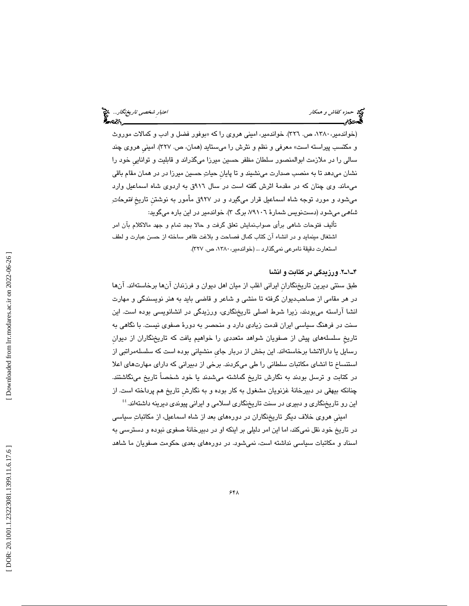حمد حمزه كفاش و همكار اعتبار شخص*ي تاريخنگار.*.. چ<mark>خ</mark><br>العاده<br>العادی محمد اعتبار اعتبار اعتبار اعتبار شخصی تاریخ محمد است.

(خواندمیر، ۱۳۸۰، ص. ۳۲٦). خواندمیر، امینی هروی را که «بوفور فضل و ادب و کمالات موروث و مكتسب پيراسته است» معرفي و نظم و نثرش را ميستايد (همان، ص. 327). امينيِ هروي چند سالي را در ملازمت ابوالمنصور سلطان مظفر حسين ميرزا ميگذراند و قابليت و تواناييِ خود را نشان ميدهد تا به منصب صدارت مينشيند و تا پايانِ حيات حسين ميرزا در در همان مقام باقي ميماند. وي چنان كه در مقدمة اثرش گفته است در سال 916ق به اردوي شاه اسماعيل وارد ميشود و مورد توجه شاه اسماعيل قرار ميگيرد و در ۹۲۷ق مأمور به نوشتن تاريخِ *فتوحات*ِ *شاهی* میشود (دستنویس شمارهٔ ۷۹۱۰٦، برگ ۳). خواندمیر در این باره میگوید:

تأليف فتوحات شاهي برأي صوابنمايش تعلق گرفت و حالا بجد تمام و جهد مالاكلام بĤن امر اشتغال مينمايد و در انشاء آن كتاب كمال فصاحت و بلاغت ظاهر ساخته از حسن عبارت و لطف استعارت دقيقهٔ نامرعي نميگذارد ... (خواندمير، ١٣٨٠، ص. ٣٢٧).

# 2ـ1ـ4 . ورزيدگي در كتابت و انشا

طبق سنتي ديرين تاريخنگارانِ ايراني اغلب از ميان اهل ديوان و فرزندان آنها برخاستهاند. آنها در هر مقامي از صاحبديوان گرفته تا منشي و شاعر و قاضي بايد به هنر نويسندگي و مهارت انشا آراسته ميبودند، زيرا شرط اصلي تاريخنگاري، ورزيدگي در انشانويسي بوده است. اين سنت در فرهنگ سياسي ايران قدمت زيادي دارد و منحصر به دورهٔ صفوي نيست. با نگاهي به تاريخِ سلسلههاي پيش از صفويان شواهد متعددي را خواهيم يافت كه تاريخنگاران از ديوانِ رسايل يا دارالانشا برخاستهاند. اين بخش از دربار جايِ منشياني بوده است كه سلسلهمراتبي از استنساخ تا انشاي مكاتبات سلطاني را طي ميكردند. برخي از دبيراني كه داراي مهارتهاي اعلا در كتابت و ترسل بودند به نگارش تاريخ گماشته ميشدند يا خود شخصاً تاريخ مينگاشتند. چنانكه بيهقي در دبيرخانة غزنويان مشغول به كار بوده و به نگارشِ تاريخ هم پرداخته است. از 44 اين رو تاريخنگاري و دبيري در سنت تاريخنگاري اسلامي و ايراني پيوندي ديرينه داشتهاند.

امينيِ هروي خلاف ديگر تاريخنگاران در دورههاي بعد از شاه اسماعيل، از مكاتبات سياسي در تاريخ خود نقل نميكند، اما اين امر دليلي بر اينكه او در دبيرخانة صفوي نبوده و دسترسي به اسناد و مكاتبات سياسي نداشته است، نميشود. در دورههاي بعدي حكومت صفويان ما شاهد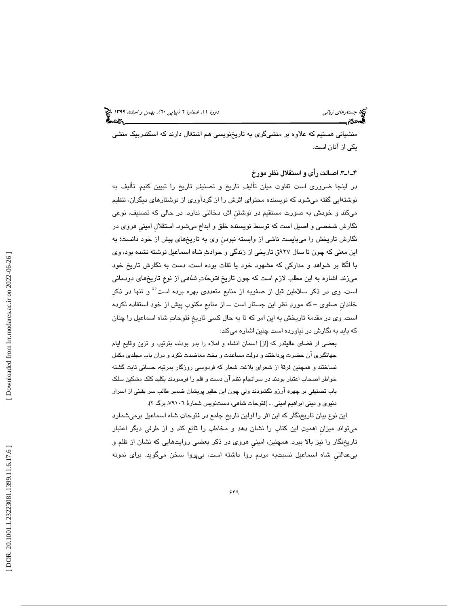منشياني هستيم كه علاوه بر منشيگري به تاريخنويسي هم اشتغال دارند كه اسكندربيك منشي يكي از آنان است.

3ـ1ـ4 . اصالت رأي و استقلال نظر مورخ

در اينجا ضروري است تفاوت ميان تأليف تاريخ و تصنيف تاريخ را تبيين كنيم. تأليف به نوشتهايي گفته ميشود كه نويسنده محتواي اثرش را از گردآوري از نوشتارهاي ديگران، تنظيم ميكند و خودش به صورت مستقيم در نوشتنِ اثر، دخالتي ندارد. در حالي كه تصنيف، نوعي نگارش شخصي و اصيل است كه توسط نويسنده خلق و ابداع ميشود. استقلالِ امينيِ هروي در نگارش تاريخش را ميبايست ناشي از وابسته نبودنِ وي به تاريخهاي پيش از خود دانست؛ به اين معني كه چون تا سال 927ق تاريخي از زندگي و حوادث شاه اسماعيل نوشته نشده بود، وي با اتّكا بر شواهد و مداركي كه مشهود خود يا ثقات بوده است، دست به نگارش تاريخ خود ميزند. اشاره به اين مطلب لازم است كه چون تاريخ *فتوحاتِ شاهي ا*ز نوعِ تاريخِهاي دودماني است، وي در ذكر سلاطين قبل از صفويه از منابع متعددي بهره برده است<sup>،،</sup> و تنها در ذكر خاندانِ صفوي ــ كه مورد نظرِ اين جستار است ــ از منابعِ مكتوبِ پيش از خود استفاده نكرده است. وي در مقدمة تاريخش به اين امر كه تا به حال كسي تاريخِ فتوحات شاه اسماعيل را چنان كه بايد به نگارش در نياورده است چنين اشاره ميكند:

بعضي از فضاي عاليقدر كه [از] آسمان انشاء و املاء را بدر بودند، بترتيب و تزين وقايع ايام جهانگيري آن حضرت پرداختند و دولت مساعدت و بخت معاضدت نكرد و دران باب مجلدي مكمل نساختند و همچنين فرقة از شعراي بلاغت شعار كه فردوسي روزگار بمرتبه، حساني ثابت گشته خواطر اصحاب اعتبار بودند در سرانجام نظم آن دست و قلم را فرسودند بكليد كلك مشكين سلك باب تصنيفي بر چهره آرزو نگشودند ولي چون اين حقير پريشان ضمير طالب سر يقيني از اسرار دنيوي و ديني ابراهيم اميني ... (فتوحات شاهي، دستنويس شمارة ،79106 برگ )2.

اين نوع بيان تاريخنگار كه اين اثر را اولين تاريخِ جامع در فتوحات شاه اسماعيل برميشمارد ميتواند ميزانِ اهميت اين كتاب را نشان دهد و مخاطب را قانع كند و از طرفي ديگر اعتبار تاريخنگار را نيز بالا ببرد. همچنين، امينيِ هروي در ذكر بعضي روايتهايي كه نشان از ظلم و بيعدالتيِ شاه اسماعيل نسبتبه مردم روا داشته است، بيپروا سخن ميگويد. براي نمونه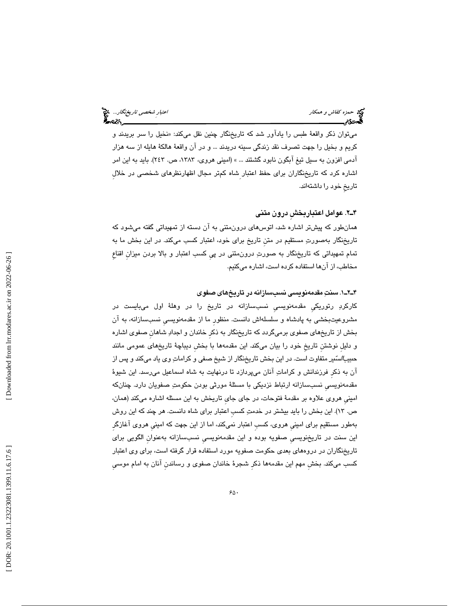# حمد حمزه كفاش و همكار اعتبار شخص*ي تاريخنگار.*.. چ<mark>خ</mark><br>العاده<br>العادی محمد اعتبار اعتبار اعتبار اعتبار شخصی تاریخ محمد است.

ميتوان ذكر واقعهٔ طبس را ياداور شد كه تاريخنگار چنين نقل ميكند: «نخيل را سر بريدند و كريم و بخيل را جهت تصرف نقد زندگي سينه دريدند ... و در آن واقعة هالكة هايله از سه هزار آدمي افزون به سيل تيغ آبگون نابود گشتند ... » (اميني هروي، ،1383 ص. 243). بايد به اين امر اشاره كرد كه تاريخنگاران براي حفظ اعتبار شاه كمتر مجال اظهارنظرهاي شخصي در خلال تاريخِ خود را داشتهاند.

# 2ـ4 . عوامل اعتباربخشِ درون متني

همانطور كه پيشتر اشاره شد، اتوسهاي درونمتني به آن دسته از تمهيداتي گفته ميشود كه تاريخنگار بهصورت مستقيم در متنِ تاريخ براي خود، اعتبار كسب ميكند. در اين بخش ما به تمام تمهيداتي كه تاريخنگار به صورت درونمتني در پيِ كسب اعتبار و بالا بردن ميزانِ اقناعِ مخاطب، از آنها استفاده كرده است، اشاره ميكنيم.

# 1ـ2ـ4 . سنت مقدمهنويسي نسبسازانه در تاريخهاي صفوي

كاركرد رتوريكيِ مقدمهنويسيِ نسبسازانه در تاريخ را در وهلة اول ميبايست در مشروعيتبخشي به پادشاه و سلسلهاش دانست. منظورِ ما از مقدمهنويسيِ نسبسازانه، به آن بخش از تاريخهاي صفوي برميگردد كه تاريخنگار به ذكرِ خاندان و اجداد شاهانِ صفوي اشاره و دليلِ نوشتنِ تاريخِ خود را بيان ميكند. اين مقدمهها با بخشِ ديباچة تاريخهاي عمومي مانند حبيب*السنّ*ير متفاوت است. در اين بخش تاريخنگار از شيخ صفي و كراماتِ وي ياد ميكند و پس از آن به ذكرِ فرزندانش و كرامات آنان ميپردازد تا درنهايت به شاه اسماعيل ميرسد. اين شيوة مقدمهنويسيِ نسبسازانه ارتباط نزديكي با مسئلة مورثي بودن حكومت صفويان دارد. چنانكه امينيِ هروي علاوه بر مقدمة فتوحات، در جاي جايِ تاريخش به اين مسئله اشاره ميكند (همان، ص. 13). اين بخش را بايد بيشتر در خدمت كسبِ اعتبار براي شاه دانست. هر چند كه اين روش بهطور مستقيم براي امينيِ هروي، كسبِ اعتبار نميكند، اما از اين جهت كه امينيِ هروي آغازگرِ اين سنت در تاريخنويسيِ صفويه بوده و اين مقدمهنويسيِ نسبسازانه بهعنوانِ الگويي براي تاريخنگاران در دروههاي بعدي حكومت صفويه مورد استفاده قرار گرفته است، براي وي اعتبار كسب ميكند. بخشِ مهم اين مقدمهها ذكرِ شجرة خاندان صفوي و رساندنِ آنان به امام موسيِ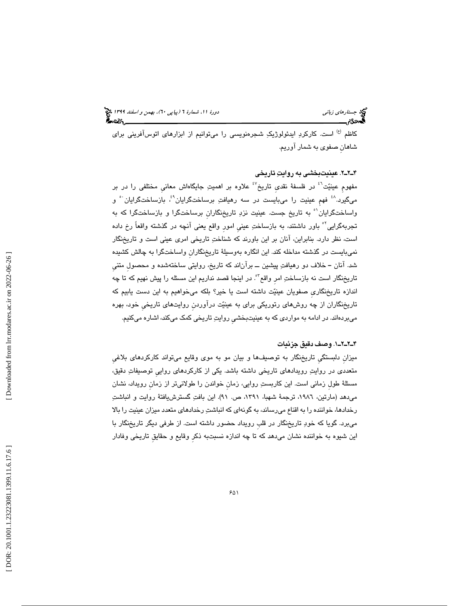کاظم <sup>(ع)</sup> است. کارکردِ ايدئولوژيکِ شجرهنويسي را ميتوانيم از ابزارهاي اتوسآفريني براي شاهانِ صفوي به شمار آوريم.

# 2ـ2ـ4 . عينيتبخشي به روايت تاريخي

مفهوم عينيّت<sup>؟</sup> در فلسفهٔ نقدي تاريخ<sup>٤٧</sup> علاوه بر اهميتِ جايگاهاش معاني مختلفي را در بر میگیرد.<sup>^؛</sup> فهم عینیت را میبایست در سه رهیافتِ برساختگرایان<sup>۹</sup>،ٔ بازساختگرایان ْ و واساختگرايان`° به تاريخ جست. عينيت نزدِ تاريخنگارانِ برساختگرا كه به 51 و بازساختگرا كه به تجربهگرايي<sup>٬۰</sup> باور داشتند، به بازساختِ عيني امور واقع يعني آنچه در گذشته واقعاً رخ داده است، نظر دارد. بنابراين، آنان بر اين باورند كه شناخت تاريخي امري عيني است و تاريخنگار نميبايست در گذشته مداخله كند. اين انگاره بهوسيلة تاريخنگارانِ واساختگرا به چالش كشيده شد. آنان ــ خلاف دو رهيافت پيشين ــ برآناند كه تاريخ، روايتي ساختهشده و محصولِ متنيِ تاريخنگار است نه بازساختِ امر واقع<sup>؟</sup>. در اينجا قصد نداريم اين مسئله را پيش نهيم كه تا چه اندازه تاريخنگاريِ صفويان عينيت داشته است يا خير؟ بلكه ميخواهيم به اين دست يابيم كه تاريخنگاران از چه روش هاي رتوريكي براي به عينيت درآوردنِ روايتهاي تاريخيِ خود، بهره ميبردهاند. در ادامه به مواردي كه به عينيتبخشيِ روايت تاريخي كمك ميكند، اشاره ميكنيم.

# 1ـ2ـ2ـ4 . وصف دقيق جزئيات

ميزانِ دلبستگيِ تاريخنگار به توصيفها و بيان مو به موي وقايع ميتواند كاركردهاي بلاغيِ متعددي در روايت رويدادهاي تاريخي داشته باشد. يكي از كاركردهاي رواييِ توصيفات دقيق، مسئلة طولِ زماني است. اين كاربست روايي، زمانِ خواندن را طولانيتر از زمانِ رويداد، نشان مي دهد (مارتين، ١٩٨٦، ترجمة شهبا، ١٣٩١، ص. ٩١). اين بافتِ گسترش يافتة روايت و انباشتِ رخدادها، خواننده را به اقناع ميرساند، به گونهاي كه انباشت رخدادهاي متعدد ميزان عينيت را بالا ميبرد. گويا كه خود تاريخنگار در قلبِ رويداد حضور داشته است. از طرفي ديگر تاريخنگار با اين شيوه به خواننده نشان ميدهد كه تا چه اندازه نسبتبه ذكرِ وقايع و حقايقِ تاريخي وفادار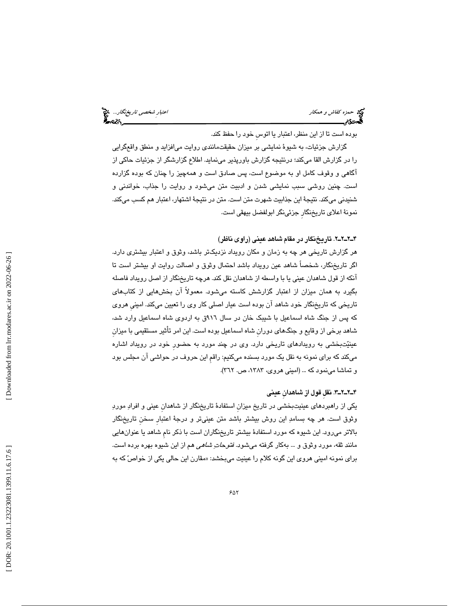حمد محمد كفاش و همكار است.<br>حمازه كفاش و همكار اعتبار شخصي تاريخنگار...<br>**الع**ادی:مراجعها اعتبار اعتبار اعتبار شخصي العامل العامل العامل العامل العامل العامل العامل العامل العامل العامل

بوده است تا از اين منظر، اعتبار يا اتوسِ خود را حفظ كند.

گزارش جزئيات، به شيوة نمايشي بر ميزان حقيقتمانندي روايت ميافزايد و منطق واقعگرايي را در گزارش القا ميكند؛ درنتيجه گزارش باورپذير مينمايد. اطلاع گزارشگر از جزئيات حاكي از آگاهي و وقوف كامل او به موضوع است، پس صادق است و همهچيز را چنان كه بوده گزارده است. چنين روشي سبب نمايشي شدن و ادبيت متن ميشود و روايت را جذاب، خواندني و شنيدني ميكند. نتيجة اين جذابيت شهرت متن است. متن در نتيجة اشتهار، اعتبار هم كسب ميكند. نمونة اعلاي تاريخنگارِ جزئينگر ابولفضل بيهقي است.

2ـ2ـ2ـ4 . تاريخنگار در مقام شاهد عيني (راوي ناظر)

هر گزارش تاريخي هر چه به زمان و مكان رويداد نزديكتر باشد، وثوق و اعتبار بيشتري دارد. اگر تاريخنگار، شخصاً شاهد عين رويداد باشد احتمال وثوق و اصالت روايت او بيشتر است تا آنكه از قول شاهدان عيني يا با واسطه از شاهدان نقل كند. هرچه تاريخنگار از اصل رويداد فاصله بگيرد به همان ميزان از اعتبار گزارشش كاسته ميشود. معمولاً آن بخشهايي از كتابهاي تاريخي كه تاريخنگار خود شاهد آن بوده است عيار اصلي كار وي را تعيين ميكند. امينيِ هروي كه پس از جنگ شاه اسماعيل با شيبك خان در سال 916ق به اردوي شاه اسماعيل وارد شد، شاهد برخي از وقايع و جنگهاي دورانِ شاه اسماعيل بوده است. اين امر تأثير مستقيمي با ميزانِ عينيتبخشي به رويدادهاي تاريخي دارد. وي در چند مورد به حضورِ خود در رويداد اشاره ميكند كه براي نمونه به نقل يك مورد بسنده ميكنيم: راقمِ اين حروف در حواشي آن مجلس بود و تماشا مينمود كه ... (اميني هروي، ،1383 ص. 362 ).

3ـ2ـ2ـ4 . نقلِ قول از شاهدانِ عيني

يكي از راهبردهاي عينيتبخشي در تاريخ ميزانِ استفادة تاريخنگار از شاهدانِ عيني و افراد مورد وثوق است. هر چه بسامد اين روش بيشتر باشد متن عينيتر و درجة اعتبارِ سخنِ تاريخنگار بالاتر ميرود. اين شيوه كه مورد استفادة بيشتر تاريخنگاران است با ذكر نامِ شاهد يا عنوانهايي مانند ثقه، مورد وثوق و … بهكار گرفته ميشود. *فتوحاتِ شاهي* هم از اين شيوه بهره برده است. برای نمونه امینی هروی این گونه کلام را عینیت میبخشد: «مقارن این حالی یکی از خواصّ که به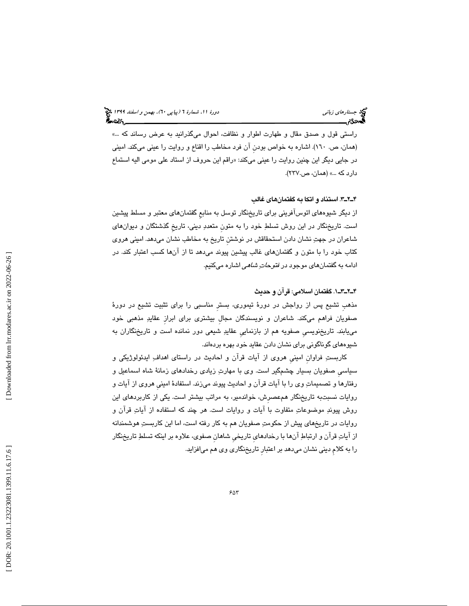استي قول و صدق مقال و طهارت اطوار و نظافت، احوال ميگذرانيد به عرض رساند كه ...» ر (همان، ص. 160). اشاره به خواص بودنِ آن فرد مخاطب را اقناع و روايت را عيني ميكند. اميني در جايي ديگر اين چنين روايت را عيني ميكند: «راقم اين حروف از استاد علي مومي اليه استماع دارد كه ...» (همان، ص237. ).

3ـ2ـ4 . استناد و اتكا به گفتمانهاي غالب

از ديگر شيوههاي اتوسآفريني براي تاريخنگار توسل به منابعِ گفتمانهاي معتبر و مسلط پيشين است. تاريخنگار در اين روش تسلط خود را به متونِ متعدد ديني، تاريخِ گذشتگان و ديوانهاي شاعران در جهت نشان دادن استحقاقش در نوشتنِ تاريخ به مخاطب نشان ميدهد. اميني هروي كتاب خود را با متون و گفتمانهاي غالب پيشين پيوند ميدهد تا از آنها كسب اعتبار كند. در ادامه به گفتمانهای موجود در *فتوحات شاهی* اشاره میکنیم.

1ـ3ـ2ـ4 . گفتمان اسلامي: قرآن و حديث

مذهبِ تشيع پس از رواجش در دورة تيموري، بسترِ مناسبي را براي تثبيت تشيع در دورة صفويان فراهم ميكند. شاعران و نويسندگان مجالِ بيشتري براي ابرازِ عقايد مذهبي خود مييابند. تاريخنويسيِ صفويه هم از بازنماييِ عقايد شيعي دور نمانده است و تاريخنگاران به شيوههاي گوناگوني براي نشان دادن عقايد خود بهره بردهاند.

كاربستِ فراوان اميني هروي از آيات قرآن و احاديث در راستاي اهداف ِ ايدئولوژيكي و سياسيِ صفويان بسيار چشمگير است. وي با مهارت زيادي رخدادهاي زمانة شاه اسماعيل و رفتارها و تصميمات وي را با آيات قرآن و احاديث پيوند ميزند. استفادة امينيِ هروي از آيات و روايات نسبتبه تاريخنگار همعصرِش، خواندمير، به مراتب بيشتر است. يكي از كاربردهاي اين روش پيوند موضوعات متفاوت با آيات و روايات است. هر چند كه استفاده از آيات قرآن و روايات در تاريخهاي پيش از حكومت صفويان هم به كار رفته است، اما اين كاربست هوشمندانه از آيات قرآن و ارتباط آنها با رخدادهايِ تاريخيِ شاهانِ صفوي، علاوه بر اينكه تسلط تاريخنگار را به كلامِ ديني نشان ميدهد بر اعتبارِ تاريخنگاري وي هم ميافزايد.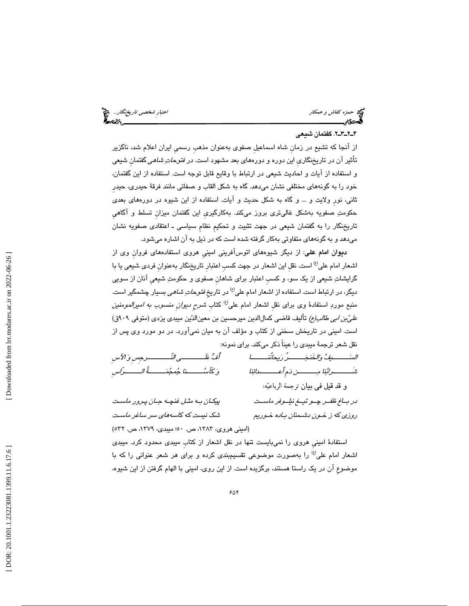حمد محمد كفاش و همكار است.<br>حمازه كفاش و همكار اعتبار شخصي تاريخنگار...<br>**الع**ادی:مراجعها اعتبار اعتبار اعتبار شخصي العامل العامل العامل العامل العامل العامل العامل العامل العامل العامل

# 2ـ3ـ2ـ4 . گفتمان شيعي

از آنجا كه تشيع در زمانِ شاه اسماعيلِ صفوي بهعنوان مذهبِ رسميِ ايران اعلام شد، ناگزير تأثير آن در تاريخنگاری اين دوره و دورههای بعد مشهود است. در *فتوحات ِشاهي* گفتمان شيعی و استفاده از آيات و احاديث شيعي در ارتباط با وقايع قابل توجه است. استفاده از اين گفتمان، خود را به گونههاي مختلفي نشان ميدهد. گاه به شكل القاب و صفاتي مانند فرقة حيدري، حيدرِ ثاني، نورِ ولايت و ... و گاه به شكل حديث و آيات. استفاده از اين شيوه در دورههاي بعدي حكومت صفويه بهشكل غاليتري بروز ميكند. بهكارگيريِ اين گفتمان ميزانِ تسلط و آگاهيِ تاريخنگار را به گفتمان شيعي در جهت تثبيت و تحكيمِ نظامِ سياسي ـ اعتقادي صفويه نشان ميدهد و به گونههاي متفاوتي بهكار گرفته شده است كه در ذيل به آن اشاره ميشود.

ديوان امام علي: از ديگر شيوههاي اتوسآفريني امينيِ هروي استفادههاي فروانِ وي از اشعار امام على<sup>(ع)</sup> است. نقل اين اشعار در جهت كسبِ اعتبار تاريخنگار بهعنوان فردي شيعي يا با گرايشات شيعي از يك سو، و كسبِ اعتبار براي شاهانِ صفوي و حكومت شيعيِ آنان از سويي دیگر، در ارتباط است. استفاده از اشعار امام علی<sup>(ع)</sup> در تاریخ *فتوحاتِ شاهی* بسیار چشمگیر است. منبعِ موردِ استفادهٔ وی برای نقل اشعار امام علی<sup>(ع)</sup> کتاب *شرحِ دیوان منسوب به امیرالمومنین* ع*ليّ بن ابي طالب(ع)* تأليف قاضي كمال|لدين ميرحسين بن معين|لدّين ميبدي يزدي (متوفي ٩٠٩ق) است. اميني در تاريخش سخني از كتاب و مؤلف آن به ميان نميآورد. در دو مورد وي پس از نقل شعر ترجمة ميبدي را عيناً ذكر ميكند. براي نمونه:

الســـــــيف والخَنجـــــــرُ ريحانُنـــــــا أُف علَــــــــــي النَّــــــــــرجِسِ و الآسِ شَـــــــــرابنا مـــــــــن دمِ أَعـــــــــدائنا و كَأســـــــنا جمجمـــــــةُ الـــــــرّاسِ و قد قيل في بيان ترجمة الرباعيه: در بــاغ ظفــر چــو تيــغ نيلــوفر ماســت پيكـان بـه مثـل غنچـه جـان پـرور ماسـت

(اميني هروي، ،1383 ص. 50؛ ميبدي، ،1379 ص. 532 )

روزي كه ز خـون دشـمنان بـاده خـوريم شك نيست كه كاسههاي سر ساغر ماسـت

استفادة امينيِ هروي را نميبايست تنها در نقل اشعار از كتابِ ميبدي محدود كرد. ميبدي اشعار امام علي<sup>(ع)</sup> را بهصورت موضوعي تقسيمېندي كرده و براي هر شعر عنواني را كه با موضوعِ آن در يك راستا هستند، برگزيده است. از اين روي، اميني با الهام گرفتن از اين شيوه،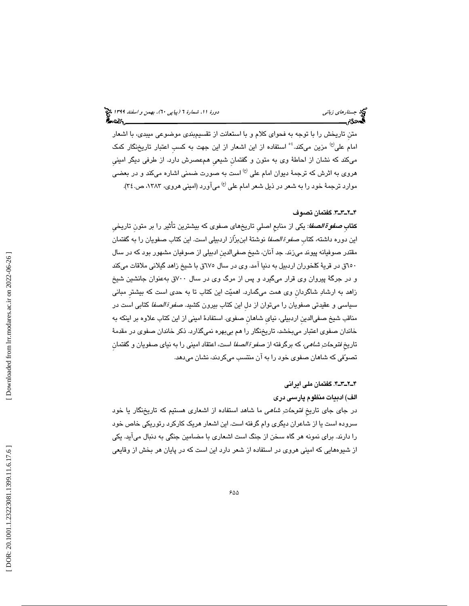متنِ تاريخش را با توجه به فحواي كلام و با استعانت از تقسيمبندي موضوعي ميبدي، با اشعار امام علی<sup>(ع)</sup> مزین میکند.<sup>؛</sup> ْ استفاده از این اشعار از این جهت به کسب اعتبار تاریخنگار کمک ميكند كه نشان از احاطة وي به متون و گفتمانِ شيعيِ همعصرش دارد. از طرفي ديگر امينيِ هروی به اثرش که ترجمهٔ دیوان امام علی <sup>(ع)</sup> است به صورت ضمنی اشاره میکند و در بعض*ی* موارد ترجمهٔ خود را به شعر در ذيل شعر امام علي <sup>(ع)</sup> ميآورد (اميني هروي، ١٣٨٣، ص.٢٤).

# 3ـ3ـ2ـ4 . گفتمان تصوف

ك**تابِ** *صفوة الصفا***:** يكي از منابعِ اصليِ تاريخِهاي صفوي كه بيشترينِ تأثير را بر متون تاريخي اين دوره داشته، كتاب ص*فوة الصفا* نوشتهٔ ابنِبزّاز اردبيلي است. اين كتاب صفويان را به گفتمان مقتدر صوفيانه پيوند ميزند. جد آنان، شيخ صفيالدينِ ادبيلي از صوفيان مشهور بود كه در سال 650ق در قرية كلخوران اردبيل به دنيا آمد. وي در سال 675ق با شيخ زاهد گيلاني ملاقات ميكند و در جرگة پيروان وي قرار ميگيرد و پس از مرگ وي در سال 700ق بهعنوان جانشين شيخ زاهد به ارشاد شاگردانِ وي همت ميگمارد. اهميت اين كتاب تا به حدي است كه بيشترِ مباني سياسي و عقيدتي صفويان را ميتوان از دل اين كتاب بيرون كشيد. ص*فوة الصفا* كتابي است در مناقب شيخ صفيالدينِ اردبيلي، نيايِ شاهانِ صفوي. استفادة اميني از اين كتاب علاوه بر اينكه به خاندان صفوي اعتبار ميبخشد، تاريخنگار را هم بيبهره نميگذارد. ذكر خاندان صفوي در مقدمة تاريخِ *فتوحاتِ شاهي،* كه برگرفته از ص*فو ة الصفا* است، اعتقاد اميني را به نياي صفويان و گفتمان تصوفي كه شاهان صفوي خود را به آن منتسب ميكردند، نشان ميدهد.

# 4ـ3ـ2ـ4 . گفتمان ملي ايراني

الف) ادبيات منظوم پارسي دري

در جای جای تاریخِ *فتوحاتِ شاهی* ما شاهد استفاده از اشعاری هستیم که تاریخنگار یا خود سروده است يا از شاعران ديگري وام گرفته است. اين اشعار هريك كاركرد رتوريكي خاص خود را دارند. براي نمونه هر گاه سخن از جنگ است اشعاري با مضامين جنگي به دنبال ميآيد. يكي از شيوههايي كه اميني هروي در استفاده از شعر دارد اين است كه در پايان هر بخش از وقايعي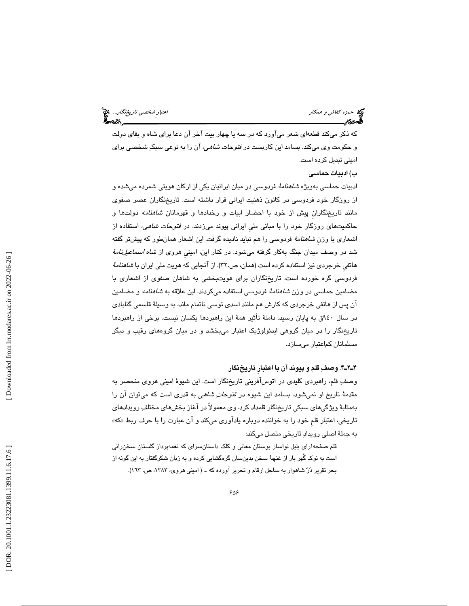حمد حمزه كفاش و همكار اعتبار شخص*ي تاريخنگار.*.. چ<mark>خ</mark><br>العاده<br>العادی محمد اعتبار اعتبار اعتبار اعتبار شخصی تاریخ محمد است.

كه ذكر ميكند قطعهاي شعر ميآورد كه در سه يا چهار بيت آخر آن دعا براي شاه و بقاي دولت و حكومت وي ميكند. بسامد اين كاربست در فتوحات شاهي، آن را به نوعي سبك شخصي براي اميني تبديل كرده است.

ب) ادبيات حماسي

ادبيات حماسي بهويژه *شاهنامهٔ* فردوسي در ميان ايرانيان يكي از اركان هويتي شمرده ميشده و از روزگار خود فردوسي در كانون ذهنيت ايراني قرار داشته است. تاريخنگاران عصر صفوي مانند تاريخنگاران پيش از خود با احضار ابيات و رخدادها و قهرمانان *شاهنامه* دولتها و حاكميتهاي روزگار خود را با مباني مليِ ايراني پيوند ميزدند. در فتوحات شاهي، استفاده از اشعاری با وزن *شاهنامهٔ* فردوسی را هم نباید نادیده گرفت. این اشعار همانطور که پیشتر گفته شد در وصف ميدان جنگ بهكار گرفته مىشود. در كنار اين، امينى هروى از *شاه اسماعيلiامهٔ* هاتفي خرجردي نيز استفاده كرده است (همان، ص٣٢). از آنجايي كه هويت ملي ايران با *شاهنامهٔ* فردوسي گره خورده است، تاريخنگاران براي هويتبخشي به شاهان صفوي از اشعاري با مضامين حماسي در وزن *شاهنامهٔ* فردوسي استفاده ميكردند. اين علاقه به *شاهنامه* و مضامين آن پس از هاتفي خرجردي كه كارش هم مانند اسدي توسي ناتمام ماند، به وسيلة قاسمي گنابادي در سال 940ق به پايان رسيد. دامنة تأثير همة اين راهبردها يكسان نيست. برخي از راهبردها تاريخنگار را در ميان گروهي ايدئولوژيك اعتبار ميبخشد و در ميان گروههاي رقيب و ديگر مسلمانان كماعتبار ميسازد.

# 4ـ2ـ4 . وصف قلم و پيوند آن با اعتبارِ تاريخنگار

وصف قلم، راهبردي كليدي در اتوسآفريني تاريخنگار است. اين شيوة اميني هروي منحصر به مقدمهٔ تاريخ او نميشود. بسامد اين شيوه در *فتوحاتِ شاهي* به قدري است كه ميتوان آن را بهمثابة ويژگيهاي سبكيِ تاريخنگار قلمداد كرد. وي معمولاً در آغاز بخشهاي مختلف رويدادهاي تاريخي، اعتبار قلم خود را به خواننده دوباره ياداوري ميكند و ان عبارت را با حرف ربط «كه» به جملة اصلي رويداد تاريخي متصل ميكند:

قلم صفحهآراي بلبل نواساز بوستان معاني و كلك داستانسراي كه نغمهپرداز گلستان سخنراني است به نوك گُهر بار از غنچة سخن بدينسان گرهگشايي كرده و به زبان شكرگفتار به اين گونه از بحر تقرير دُرّ شاهوار به ساحل ارقام و تحرير آورده كه ... ( اميني هروي، ١٣٨٣، ص. ١٦٣).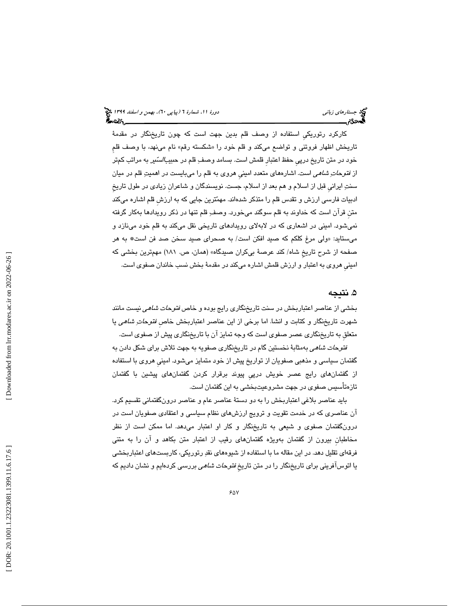كاركرد رتوريكيِ استفاده از وصف قلم بدين جهت است كه چون تاريخنگار در مقدمة تاريخش اظهار فروتني و تواضع ميكند و قلم خود را «شكسته رقم» نام مينهد، با وصف قلم خود در متن تاريخ درپ*ي* حفظ اعتبار قلمش است. بسامد وصفِ قلم در حب*يبالسّير* به مراتب كمتر از *فتوحاتِ شاهي* است. اشارههاي متعدد اميني هروي به قلم را ميبايست در اهميتِ قلم در ميان سنت ايرانيِ قبل از اسلام و هم بعد از اسلام، جست. نويسندگان و شاعرانِ زيادي در طول تاريخِ ادبيات فارسي ارزش و تقدس قلم را متذكر شدهاند. مهمترين جايي كه به ارزشِ قلم اشاره ميكند متنِ قرآن است كه خداوند به قلم سوگند ميخورد. وصف قلم تنها در ذكر رويدادها بهكار گرفته نميشود. اميني در اشعاري كه در لابهلاي رويدادهاي تاريخي نقل ميكند به قلم خود مينازد و ولي مرغ كلكم كه صيد افكن است/ به صحراي صيد سخن صد فن است\* به هر ميستايد: « صفحه از شرح تاريخِ شاه/ كند عرصة بيكران صيدگاه» (همان، ص. 181) مهمترين بخشي كه امينيِ هروي به اعتبار و ارزش قلمش اشاره ميكند در مقدمة بخش نسب خاندان صفوي است.

# ۵. نتيجه

بخشي از عناصر اعتباربخش در سنت تاريخنگاري رايج بوده و خاص *فتوحات شاهي* نيست مانند شهرت تاريخنگار و كتابت و انشا. اما برخي از اين عناصر اعتباربخش خاصِ فتوحات شاهي يا متعلقِ به تاريخنگاري عصر صفوي است كه وجه تمايز آن با تاريخنگاري پيش از صفوي است.

فتوحات شاهي به مثابة نخستين گام در تاريخنگاري صفويه به جهت تلاش براي شكل دادن به گفتمان سياسي و مذهبي صفويان از تواريخ پيش از خود متمايز ميشود. امينيِ هروي با استفاده از گفتمانهاي رايج عصر خويش درپيِ پيوند برقرار كردن گفتمانهاي پيشين با گفتمان تازهتأسيس صفوي در جهت مشروعيتبخشي به اين گفتمان است.

بايد عناصر بلاغي اعتباربخش را به دو دستة عناصر عام و عناصر درونگفتماني تقسيم كرد. آن عناصري كه در خدمت تقويت و ترويج ارزشهاي نظام سياسي و اعتقادي صفويان است در درونگفتمان صفوي و شيعي به تاريخنگار و كار او اعتبار ميدهد. اما ممكن است از نظر مخاطبانِ بيرون از گفتمان بهويژه گفتمانهاي رقيب از اعتبار متن بكاهد و آن را به متني فرقهاي تقليل دهد. در اين مقاله ما با استفاده از شيوههاي نقد رتوريكي، كاربستهاي اعتباربخشي يا اتوسآفريني براي تاريخنگار را در متن تاريخ *فتوحات شاهي* بررسي كردهايم و نشان داديم كه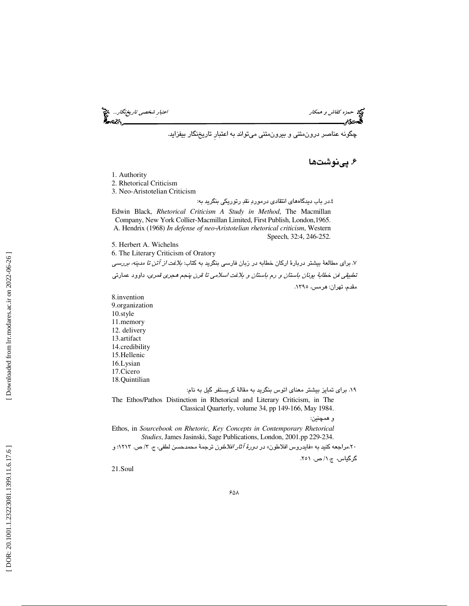حمد كفاش و همكار احتبار شخصي تاري*خنگار...*. هي اعتبارِ شخص*ي تاريخنگار...*. هي اعتبارِ شخص*ي تاريخنگار...*<br>**ال**حدوثی

چگونه عناصر درونمتني و بيرونمتني ميتواند به اعتبارِ تاريخنگار بيفزايد.

۶. پینوشتها

1. Authority

2. Rhetorical Criticism

3. Neo-Aristotelian Criticism

4. در باب ديدگاههاي انتقادي درمورد نقد رتوريكي بنگريد به:

Edwin Black, *Rhetorical Criticism A Study in Method* , The Macmillan Company, New York Collier-Macmillan Limited, First Publish, London,1965. A. Hendrix (1968) *In defense of neo* ‐*Aristotelian rhetorical criticism*, Western Speech, 32:4, 246-252.

5. Herbert A. Wichelns

6. The Literary Criticism of Oratory

 7. براي مطالعة بيشتر دربارة اركان خطابه در زبان فارسي بنگريد به كتاب: بلاغت از آتن تا مدينه، بررسي تطبي<u>قي</u> *فن* خط*ابهٔ يونان باستان و رم باستان و بلاغت اسلامي تا قرن پنجم <i>هجری قمری*، داوود عمارتي<br>مقدم، تهران: هرمس، ۱۳۹۰.

8.invention 9.organization 10.style 11.memory 12. delivery 13.artifact 14.credibility 15.Hellenic 16.Lysian 17.Cicero 18.Quintilian

19. براي تمايز بيشتر معناي اتوس بنگريد به مقالة كريستفر گيل به نام:

The Ethos/Pathos Distinction in Rhetorical and Literary Criticism, in The Classical Quarterly, volume 34, pp 149-166, May 1984.

و همچنين:

Ethos, in *Sourcebook on Rhetoric, Key Concepts in Contemporary Rhetorical Studies*, James Jasinski, Sage Publications, London, 2001.pp 229-234.

۲۰.مراجعه كنيد به «فايدروس افلاطون» در *دورهٔ آثار افلاطون* ترجمهٔ محمدحسن لطفي، ج. ۳/ ص. ۱۲۱۳؛ و

گرگياس، ج.١/ ص. ٢٥١.

21.Soul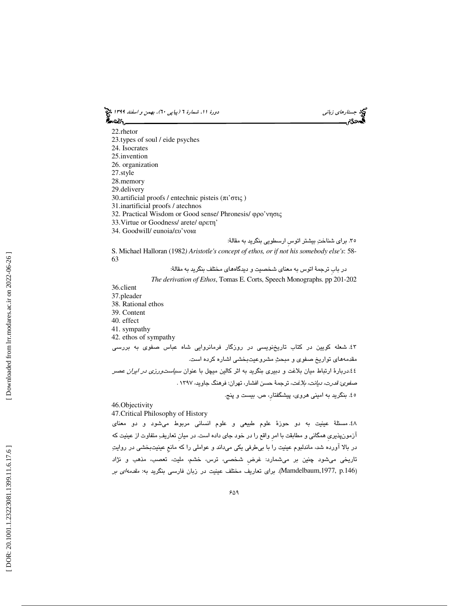جستاره*اي زباني (بياپي 60)، بهمن و اسفند 1*394 فرانس به 130 دورة ا $\mu$  شمارة 1 (پياپي 61)، بهم*ن و اسفند 1*34 فر ಹಿಂದಿ

22.rhetor 23.types of soul / eide psyches 24. Isocrates 25.invention 26. organization 27.style 28.memory 29.delivery 30.artificial proofs / entechnic pisteis (πι 'στις ) 31.inartificial proofs / atechnos 32. Practical Wisdom or Good sense/ Phronesis/ φρο 'νησις 33.Virtue or Goodness/ arete/ αρετη' 34. Goodwill/ eunoia/ευ 'νοια 35. براي شناخت بيشتر اتوسِ ارسطويي بنگريد به مقالة:

S. Michael Halloran (1982*) Aristotle's concept of ethos, or if not his somebody else's* : 58- 63

در بابِ ترجمة اتوس به معناي شخصيت و ديدگاههاي مختلف بنگريد به مقالة:

*The derivation of Ethos*, Tomas E. Corts, Speech Monographs. pp 201-202

36.client

- 37.pleader
- 38. Rational ethos
- 39. Content
- 40. effect 41. sympathy
- 42. ethos of sympathy

 43. شعله كويين در كتاب تاريخنويسي در روزگار فرمانروايي شاه عباس صفوي به بررسي مقدمههاي تواريخ صفوي و مبحث مشروعيتبخشي اشاره كرده است. .<br>٤٤.دربارهٔ ارتباط ميان بلاغت و دبيري بنگريد به اثر كالين ميچل با عنوان *سياست<code>ورزي</code> <i>در ايران عصر* صفوي: قدرت، ديانت، بلاغت، ترجمة حسن افشار، تهران: فرهنگ جاويد، 1397 . 45. بنگريد به اميني هروي، پيشگفتار،ِ ص. بيست و پنج.

46.Objectivity

47.Critical Philosophy of History

48. مسئلة عينيت به دو حوزة علوم طبيعي و علوم انساني مربوط ميشود و دو معناي آزمونپذيريِ همگاني و مطابقت با امرِ واقع را در خود جاي داده است. در ميانِ تعاريف متفاوت از عينيت كه در بالا آورده شد، ماندلبوم عينيت را با بيطرفي يكي ميداند و عواملي را كه مانعِ عينيتبخشي در روايت تاريخي ميشود چنين بر ميشمارد: غرضِ شخصي، ترس، خشم، مليت، تعصب، مذهب و نژاد (Mamdelbaum,1977, p.146). برای تعاریف مختلف عینیت در زبان فارسی بنگرید به: *مقدمهای بر*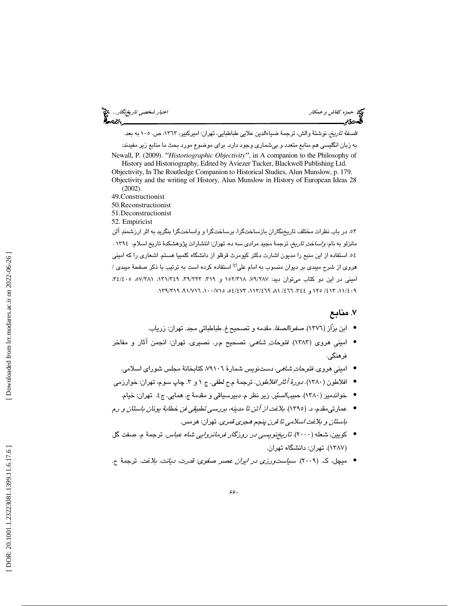حمزه كفاش و همكار اعتبارِ شخصي تاريخنگار... *فلسفةً تاريخ،* نوشتةً والش، ترجمةً ضياءالدين علايي طباطبايي، تهران: اميركبير، ١٣٦٣، ص. ١٠٥ به بعد. به زبان انگليسي هم منابع متعدد و بيشماري وجود دارد. براي موضوع مورد بحث ما منابع زير مفيدند: Newall, P. (2009). *"Historiographic Objectivity "*, in A companion to the Philosophy of History and Historiography, Edited by Aviezer Tucker, Blackwell Publishing Ltd. Objectivity, In The Routledge Companion to Historical Studies, Alun Munslow, p. 179. Objectivity and the writing of History, Alun Munslow in History of European Ideas 28 (2002). 49.Constructionist 50.Reconstructionist 51.Deconstructionist 52. Empiricist ۵۳. در باب نظرات مختلف تاريخنگاران بازساختگرا، برساختگرا و واساختگرا بنگريد به اثر ارزشمندِ آلن مانزلو به نام: *واسا*خت *تاريخ،* ترجمة مجيد مرادي سه ده، تهران: انتشارات پژوهشكدهٔ تاريخ اسلام، ١٣٩٤ .

 54. استفاده از اين منبع را مديون اشارت دكتر كيومرث قرقلو از دانشگاه كلمبيا هستم. اشعاري را كه اميني هروی از شرح میبدی بر دیوان منسوب به امام علی<sup>(ع)</sup> استفاده کرده است به ترتیب با ذکر صفحهٔ میبد*ی |* اميني در اين دو كتاب ميتوان ديد: ۷۹/۲۸۷، ۱۵۲/۳۱۸ و ۳۱/ ۳۴/۴۸، ۴۱/۳۶۸، ۳٤/٤٠٥، ه ۳٤/۶۰، ۰۹ ،۱۲۵/ ۱۲۵/ ۱۲۵ و ٤٤٤، ٦٦٦/ ۸۱، ۴۶۹/۲۱۹، ۵۶/٤۷۳، ۰۱، ۹۱/۷۱۶، ۱۳۹/۳۱۹.

# 7. منابع

- ابن بزّاز (1376). صفوةالصفا. مقدمه و تصحيح غ. طباطبائي مجد. تهران: زرياب. •
- اميني هروي (١٣٨٣). *فتوحاتِ شاهي*. تصحيح م.ر. نصيري. تهران: انجمن آثار و مفاخر فرهنگي.
	- امینی هروی. *فتوحات ِشاهی*. دستنویس شمارهٔ ۷۹۱۰٦، کتابخانهٔ مجلس شورای اسلامی.
	- افلاطون (١٣٨٠). *دورهٔ آثار افلاطون*. ترجمهٔ م-ح لطفي. ج ١ و ٣. چاپ سوم، تهران: خوارزمي
	- خواندمیر (۱۳۸۰). *حبیبالسیّر*. زیر نظر م. دبیرسیاقی و مقدمهٔ ج. همایی. ج٤. تهران: خیام.
- عمارتيمقدم، د. (1395). بلاغت از آتن تا مدينه، بررسي تطبيقي فن خطابة يونان باستان و رم باستان و بلاغت اسلامي تا قرن پنجم هجري قمري. تهران: هرمس.
- كويين، شعله (2000). تاريخنويسي در روزگار فرمانروايي شاه عباس. ترجمة م. صفت گل 1387). تهران: دانشگاه تهران. )
- ميچل، ك. (2009). سياستورزي در ايران عصر صفوي: قدرت، ديانت، بلاغت. ترجمة ح. •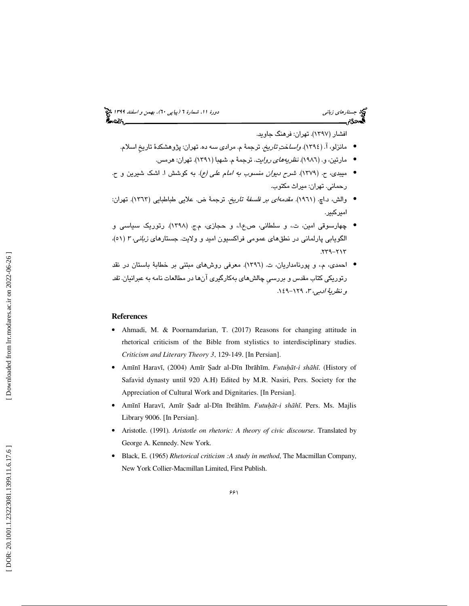# جستاره*اي زباني (بياپي 60)، بهمن و اسفند 1*394 فرانس به 130 دورة ا $\mu$  شمارة 1 (پياپي 61)، بهم*ن و اسفند 1*34 فر

افشار (1397 ). تهران: فرهنگ جاويد.

- مانزلو، آ. (١٣٩٤). *واساختِ تاريخ*. ترجمهٔ م. مرادي سه ده. تهران: پژوهشكدهٔ تاريخ اسلام.
	- مارتين، و. (1986). نظريههاي روايت. ترجمة م. شهبا (1391). تهران: هرمس. •
- ميبدي، ح. (1379). شرح ديوان منسوب به امام علي (ع). به كوشش ا. اشك شيرين و ح. حماني. تهران: ميراث مكتوب. ر
- والش، د.اچ. (١٩٦١). *مقدمهاي بر فلسفةُ تاريخ*. ترجمةً ض. علايي طباطبايي (١٣٦٣). تهران: اميركبير.
- چهارسوقي امين، ت،. و سلطاني، ص.ع.ا،. و حجازي، م.ج. (1398). رتوريك سياسي و الگویابی پارلمانی در نطقهای عمومی فراکسیون امید و ولایت. جستارهای *زبانی، ۳ (*۵۱)،  $259 - 217$
- احمدي، م،. و پورنامداريان، ت. (1396). معرفي روشهاي مبتني بر خطابة باستان در نقد رتوریکی کتاب مقدس و بررسـ*يِ* چالشهای بهکارگیری آنها در مطالعات نامه به عبرانیان. *نقد*<br>*و نظریهٔ ادبی، ۲*، ۱۲۹–۱۶۹.

### **References**

- Ahmadi, M. & Poornamdarian, T. (2017) Reasons for changing attitude in rhetorical criticism of the Bible from stylistics to interdisciplinary studies. *Criticism and Literary Theory 3*, 129-149. [In Persian].
- Amī nī Haravī, (2004) Amīr Ṣadr al-D īn Ibr ā hīm. *Futu*ḥā*t-i sh* ā *h* ī. (History of Safavid dynasty until 920 A.H) Edited by M.R. Nasiri, Pers. Society for the Appreciation of Cultural Work and Dignitaries. [In Persian].
- Amī nī Harav ī, Amīr Ṣadr al-D īn Ibr ā hīm. *Futu*ḥā*t-i sh* ā *h* ī. Pers. Ms. Majlis Library 9006. [In Persian].
- Aristotle. (1991)*. Aristotle on rhetoric: A theory of civic discours e*. Translated by George A. Kennedy. New York.
- Black, E. (1965) *Rhetorical criticism :A study in method*, The Macmillan Company, New York Collier-Macmillan Limited, First Publish.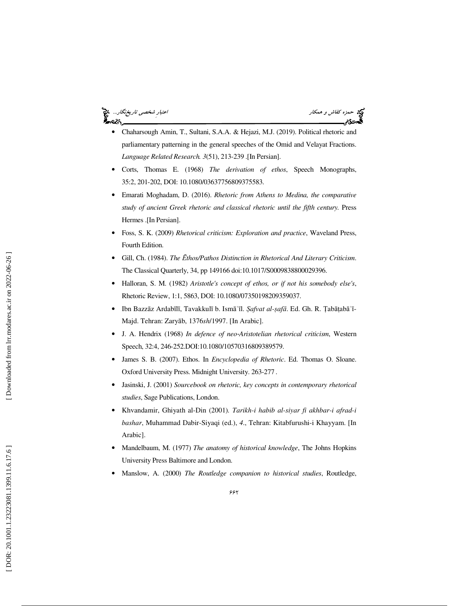حمزه كفاش و همكار اعتبارِ شخصي تاريخنگار...

- Chaharsough Amin, T., Sultani, S.A.A. & Hejazi, M.J. (2019). Political rhetoric and parliamentary patterning in the general speeches of the Omid and Velayat Fractions. *Language Related Research. 3*(51), 213-239 .[In Persian].
- Corts, Thomas E. (1968) *The derivation of ethos*, Speech Monographs, 35:2, 201-202, DOI: 10.1080/03637756809375583.
- Emarati Moghadam, D. (2016). *Rhetoric from Athens to Medina, the comparative study of ancient Greek rhetoric and classical rhetoric until the fifth century.* Press Hermes .[In Persian].
- Foss, S. K. (2009) *Rhetorical criticism: Exploration and practice*, Waveland Press, Fourth Edition.
- Gill, Ch. (1984). *The*  Ē*thos/Pathos Distinction in Rhetorical And Literary Criticism*. The Classical Quarterly, 34, pp 149166 doi:10.1017/S0009838800029396.
- Halloran, S. M. (1982) *Aristotle's concept of ethos, or if not his somebody else's*, Rhetoric Review, 1:1, 5863, DOI: 10.1080/07350198209359037.
- Ibn Bazzāz Ardabīlī, Tavakkulī b. Ismāʿīl. *Şafvat al-ṣafā*. Ed. Gh. R. Țabāṭabāʾī-Majd. Tehran: Zary āb, 1376*sh*/1997. [In Arabic].
- J. A. Hendrix (1968) *In defence of neo* ‐*Aristotelian rhetorical criticism*, Western Speech, 32:4, 246-252.DOI:10.1080/10570316809389579.
- James S. B. (2007). Ethos. In *Encyclopedia of Rhetoric*. Ed. Thomas O. Sloane. Oxford University Press. Midnight University. 263-277 .
- Jasinski, J. (2001) *Sourcebook on rhetoric, key concepts in contemporary rhetorical studies*, Sage Publications, London.
- Khvandamir, Ghiyath al-Din (2001)*. Tarikh-i habib al-siyar fi akhbar-i afrad-i bashar*, Muhammad Dabir-Siyaqi (ed.), *4*., Tehran: Kitabfurushi-i Khayyam. [In Arabic].
- Mandelbaum, M. (1977) *The anatomy of historical knowledge*, The Johns Hopkins University Press Baltimore and London.
- Manslow, A. (2000) *The Routledge companion to historical studies*, Routledge,